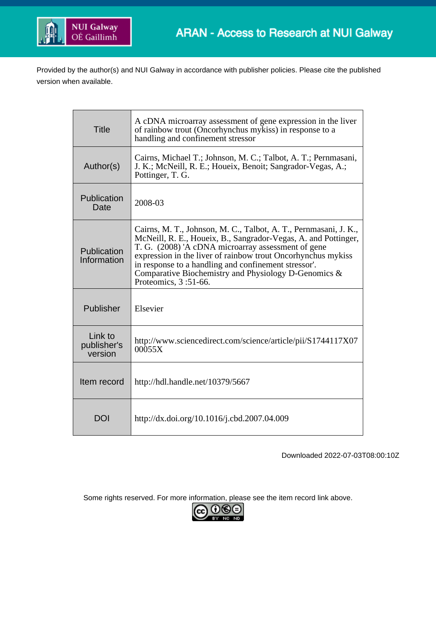

Provided by the author(s) and NUI Galway in accordance with publisher policies. Please cite the published version when available.

| <b>Title</b>                                                                                                                                                                                                                                                                                                                                                                                                                   | A cDNA microarray assessment of gene expression in the liver<br>of rainbow trout (Oncorhynchus mykiss) in response to a<br>handling and confinement stressor |  |
|--------------------------------------------------------------------------------------------------------------------------------------------------------------------------------------------------------------------------------------------------------------------------------------------------------------------------------------------------------------------------------------------------------------------------------|--------------------------------------------------------------------------------------------------------------------------------------------------------------|--|
| Author(s)                                                                                                                                                                                                                                                                                                                                                                                                                      | Cairns, Michael T.; Johnson, M. C.; Talbot, A. T.; Pernmasani,<br>J. K.; McNeill, R. E.; Houeix, Benoit; Sangrador-Vegas, A.;<br>Pottinger, T. G.            |  |
| Publication<br>2008-03<br>Date                                                                                                                                                                                                                                                                                                                                                                                                 |                                                                                                                                                              |  |
| Cairns, M. T., Johnson, M. C., Talbot, A. T., Pernmasani, J. K.,<br>McNeill, R. E., Houeix, B., Sangrador-Vegas, A. and Pottinger,<br>T. G. (2008) 'A cDNA microarray assessment of gene<br>Publication<br>expression in the liver of rainbow trout Oncorhynchus mykiss<br>Information<br>in response to a handling and confinement stressor'.<br>Comparative Biochemistry and Physiology D-Genomics &<br>Proteomics, 3:51-66. |                                                                                                                                                              |  |
| Publisher                                                                                                                                                                                                                                                                                                                                                                                                                      | Elsevier                                                                                                                                                     |  |
| Link to<br>publisher's<br>version                                                                                                                                                                                                                                                                                                                                                                                              | http://www.sciencedirect.com/science/article/pii/S1744117X07<br>00055X                                                                                       |  |
| Item record                                                                                                                                                                                                                                                                                                                                                                                                                    | http://hdl.handle.net/10379/5667                                                                                                                             |  |
| DOI                                                                                                                                                                                                                                                                                                                                                                                                                            | http://dx.doi.org/10.1016/j.cbd.2007.04.009                                                                                                                  |  |

Downloaded 2022-07-03T08:00:10Z

Some rights reserved. For more information, please see the item record link above.

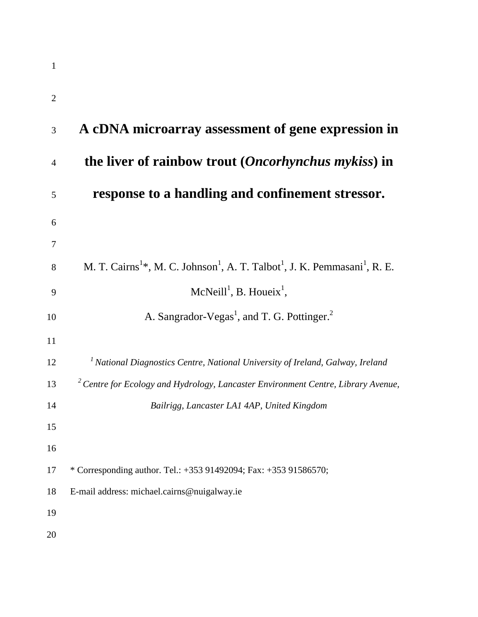| 1              |                                                                                                                            |
|----------------|----------------------------------------------------------------------------------------------------------------------------|
| $\overline{2}$ |                                                                                                                            |
| 3              | A cDNA microarray assessment of gene expression in                                                                         |
| $\overline{4}$ | the liver of rainbow trout (Oncorhynchus mykiss) in                                                                        |
| 5              | response to a handling and confinement stressor.                                                                           |
| 6              |                                                                                                                            |
| 7              |                                                                                                                            |
| 8              | M. T. Cairns <sup>1*</sup> , M. C. Johnson <sup>1</sup> , A. T. Talbot <sup>1</sup> , J. K. Pemmasani <sup>1</sup> , R. E. |
| 9              | McNeill <sup>1</sup> , B. Houeix <sup>1</sup> ,                                                                            |
| 10             | A. Sangrador-Vegas <sup>1</sup> , and T. G. Pottinger. <sup>2</sup>                                                        |
| 11             |                                                                                                                            |
| 12             | <sup>1</sup> National Diagnostics Centre, National University of Ireland, Galway, Ireland                                  |
| 13             | $2$ Centre for Ecology and Hydrology, Lancaster Environment Centre, Library Avenue,                                        |
| 14             | Bailrigg, Lancaster LA1 4AP, United Kingdom                                                                                |
| 15             |                                                                                                                            |
| 16             |                                                                                                                            |
| 17             | * Corresponding author. Tel.: +353 91492094; Fax: +353 91586570;                                                           |
| 18             | E-mail address: michael.cairns@nuigalway.ie                                                                                |
| 19             |                                                                                                                            |
| 20             |                                                                                                                            |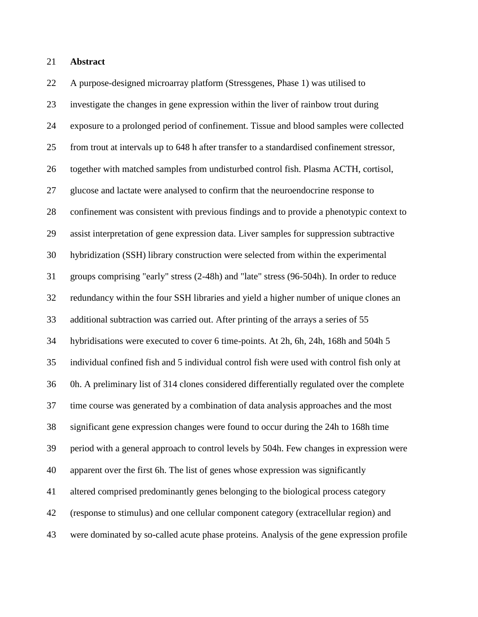#### **Abstract**

 A purpose-designed microarray platform (Stressgenes, Phase 1) was utilised to investigate the changes in gene expression within the liver of rainbow trout during exposure to a prolonged period of confinement. Tissue and blood samples were collected from trout at intervals up to 648 h after transfer to a standardised confinement stressor, together with matched samples from undisturbed control fish. Plasma ACTH, cortisol, glucose and lactate were analysed to confirm that the neuroendocrine response to confinement was consistent with previous findings and to provide a phenotypic context to assist interpretation of gene expression data. Liver samples for suppression subtractive hybridization (SSH) library construction were selected from within the experimental groups comprising "early" stress (2-48h) and "late" stress (96-504h). In order to reduce redundancy within the four SSH libraries and yield a higher number of unique clones an additional subtraction was carried out. After printing of the arrays a series of 55 hybridisations were executed to cover 6 time-points. At 2h, 6h, 24h, 168h and 504h 5 individual confined fish and 5 individual control fish were used with control fish only at 0h. A preliminary list of 314 clones considered differentially regulated over the complete time course was generated by a combination of data analysis approaches and the most significant gene expression changes were found to occur during the 24h to 168h time period with a general approach to control levels by 504h. Few changes in expression were apparent over the first 6h. The list of genes whose expression was significantly altered comprised predominantly genes belonging to the biological process category (response to stimulus) and one cellular component category (extracellular region) and were dominated by so-called acute phase proteins. Analysis of the gene expression profile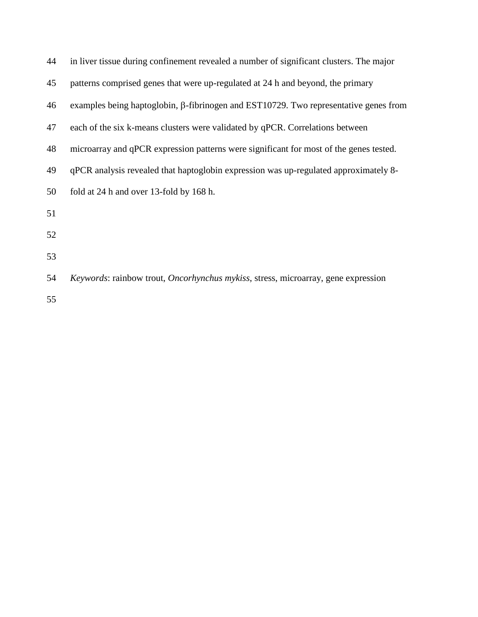| 44 | in liver tissue during confinement revealed a number of significant clusters. The major     |
|----|---------------------------------------------------------------------------------------------|
| 45 | patterns comprised genes that were up-regulated at 24 h and beyond, the primary             |
| 46 | examples being haptoglobin, $\beta$ -fibrinogen and EST10729. Two representative genes from |
| 47 | each of the six k-means clusters were validated by qPCR. Correlations between               |
| 48 | microarray and qPCR expression patterns were significant for most of the genes tested.      |
| 49 | qPCR analysis revealed that haptoglobin expression was up-regulated approximately 8-        |
| 50 | fold at 24 h and over 13-fold by 168 h.                                                     |
| 51 |                                                                                             |
| 52 |                                                                                             |
| 53 |                                                                                             |
| 54 | Keywords: rainbow trout, Oncorhynchus mykiss, stress, microarray, gene expression           |
|    |                                                                                             |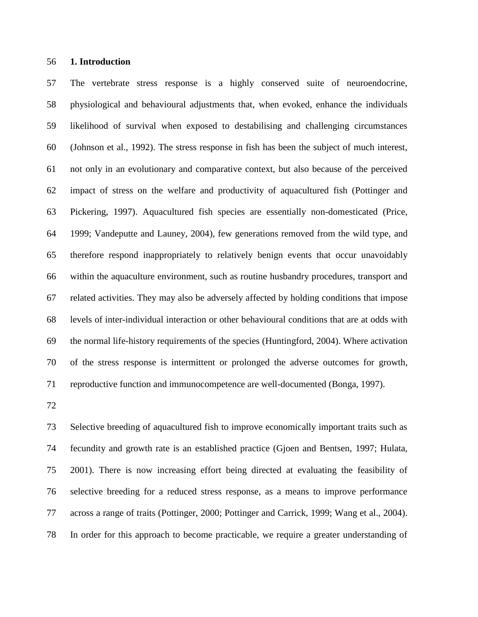#### **1. Introduction**

 The vertebrate stress response is a highly conserved suite of neuroendocrine, physiological and behavioural adjustments that, when evoked, enhance the individuals likelihood of survival when exposed to destabilising and challenging circumstances (Johnson et al., 1992). The stress response in fish has been the subject of much interest, not only in an evolutionary and comparative context, but also because of the perceived impact of stress on the welfare and productivity of aquacultured fish (Pottinger and Pickering, 1997). Aquacultured fish species are essentially non-domesticated (Price, 1999; Vandeputte and Launey, 2004), few generations removed from the wild type, and therefore respond inappropriately to relatively benign events that occur unavoidably within the aquaculture environment, such as routine husbandry procedures, transport and related activities. They may also be adversely affected by holding conditions that impose levels of inter-individual interaction or other behavioural conditions that are at odds with the normal life-history requirements of the species (Huntingford, 2004). Where activation of the stress response is intermittent or prolonged the adverse outcomes for growth, reproductive function and immunocompetence are well-documented (Bonga, 1997).

 Selective breeding of aquacultured fish to improve economically important traits such as fecundity and growth rate is an established practice (Gjoen and Bentsen, 1997; Hulata, 2001). There is now increasing effort being directed at evaluating the feasibility of selective breeding for a reduced stress response, as a means to improve performance across a range of traits (Pottinger, 2000; Pottinger and Carrick, 1999; Wang et al., 2004). In order for this approach to become practicable, we require a greater understanding of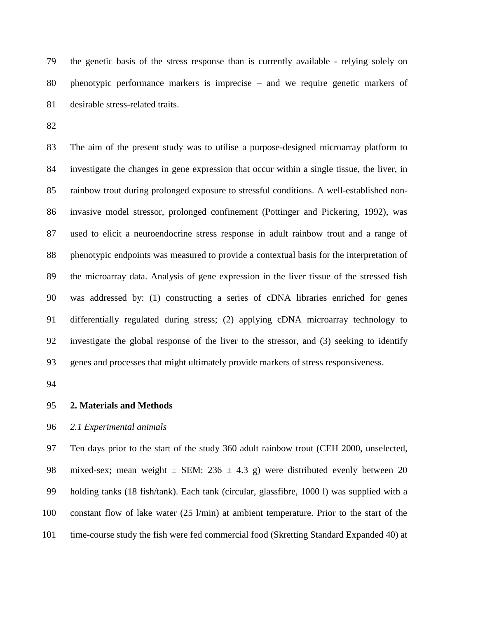the genetic basis of the stress response than is currently available - relying solely on phenotypic performance markers is imprecise – and we require genetic markers of desirable stress-related traits.

 The aim of the present study was to utilise a purpose-designed microarray platform to investigate the changes in gene expression that occur within a single tissue, the liver, in rainbow trout during prolonged exposure to stressful conditions. A well-established non- invasive model stressor, prolonged confinement (Pottinger and Pickering, 1992), was used to elicit a neuroendocrine stress response in adult rainbow trout and a range of phenotypic endpoints was measured to provide a contextual basis for the interpretation of the microarray data. Analysis of gene expression in the liver tissue of the stressed fish was addressed by: (1) constructing a series of cDNA libraries enriched for genes differentially regulated during stress; (2) applying cDNA microarray technology to investigate the global response of the liver to the stressor, and (3) seeking to identify genes and processes that might ultimately provide markers of stress responsiveness.

#### **2. Materials and Methods**

#### *2.1 Experimental animals*

 Ten days prior to the start of the study 360 adult rainbow trout (CEH 2000, unselected, 98 mixed-sex; mean weight  $\pm$  SEM: 236  $\pm$  4.3 g) were distributed evenly between 20 holding tanks (18 fish/tank). Each tank (circular, glassfibre, 1000 l) was supplied with a constant flow of lake water (25 l/min) at ambient temperature. Prior to the start of the time-course study the fish were fed commercial food (Skretting Standard Expanded 40) at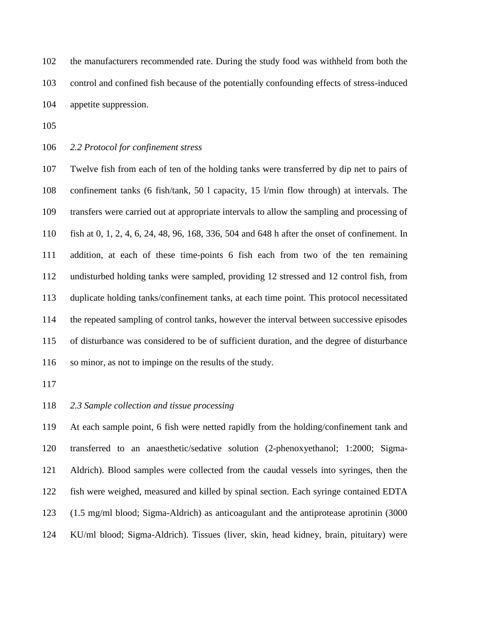the manufacturers recommended rate. During the study food was withheld from both the control and confined fish because of the potentially confounding effects of stress-induced appetite suppression.

*2.2 Protocol for confinement stress*

 Twelve fish from each of ten of the holding tanks were transferred by dip net to pairs of confinement tanks (6 fish/tank, 50 l capacity, 15 l/min flow through) at intervals. The transfers were carried out at appropriate intervals to allow the sampling and processing of fish at 0, 1, 2, 4, 6, 24, 48, 96, 168, 336, 504 and 648 h after the onset of confinement. In addition, at each of these time-points 6 fish each from two of the ten remaining undisturbed holding tanks were sampled, providing 12 stressed and 12 control fish, from duplicate holding tanks/confinement tanks, at each time point. This protocol necessitated the repeated sampling of control tanks, however the interval between successive episodes of disturbance was considered to be of sufficient duration, and the degree of disturbance so minor, as not to impinge on the results of the study.

# *2.3 Sample collection and tissue processing*

 At each sample point, 6 fish were netted rapidly from the holding/confinement tank and transferred to an anaesthetic/sedative solution (2-phenoxyethanol; 1:2000; Sigma- Aldrich). Blood samples were collected from the caudal vessels into syringes, then the fish were weighed, measured and killed by spinal section. Each syringe contained EDTA (1.5 mg/ml blood; Sigma-Aldrich) as anticoagulant and the antiprotease aprotinin (3000 KU/ml blood; Sigma-Aldrich). Tissues (liver, skin, head kidney, brain, pituitary) were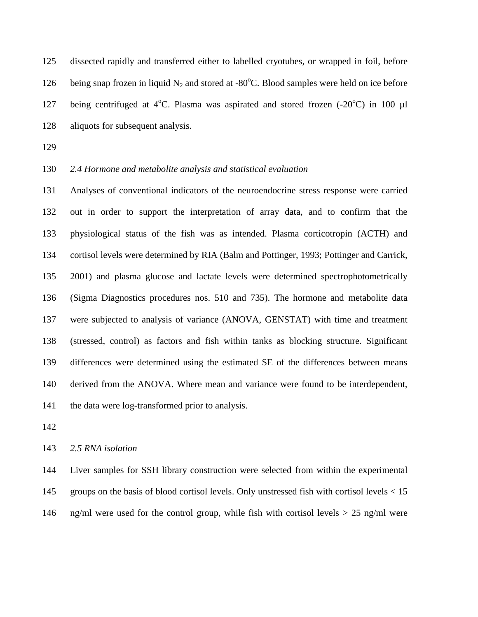dissected rapidly and transferred either to labelled cryotubes, or wrapped in foil, before 126 being snap frozen in liquid  $N_2$  and stored at -80°C. Blood samples were held on ice before 127 being centrifuged at  $4^{\circ}$ C. Plasma was aspirated and stored frozen  $(-20^{\circ}$ C) in 100 µl aliquots for subsequent analysis.

# *2.4 Hormone and metabolite analysis and statistical evaluation*

 Analyses of conventional indicators of the neuroendocrine stress response were carried out in order to support the interpretation of array data, and to confirm that the physiological status of the fish was as intended. Plasma corticotropin (ACTH) and cortisol levels were determined by RIA (Balm and Pottinger, 1993; Pottinger and Carrick, 2001) and plasma glucose and lactate levels were determined spectrophotometrically (Sigma Diagnostics procedures nos. 510 and 735). The hormone and metabolite data were subjected to analysis of variance (ANOVA, GENSTAT) with time and treatment (stressed, control) as factors and fish within tanks as blocking structure. Significant differences were determined using the estimated SE of the differences between means derived from the ANOVA. Where mean and variance were found to be interdependent, the data were log-transformed prior to analysis.

*2.5 RNA isolation*

 Liver samples for SSH library construction were selected from within the experimental groups on the basis of blood cortisol levels. Only unstressed fish with cortisol levels < 15 ng/ml were used for the control group, while fish with cortisol levels > 25 ng/ml were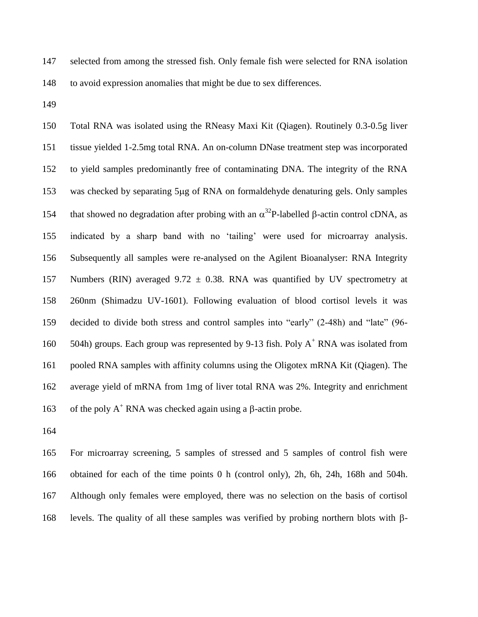selected from among the stressed fish. Only female fish were selected for RNA isolation to avoid expression anomalies that might be due to sex differences.

 Total RNA was isolated using the RNeasy Maxi Kit (Qiagen). Routinely 0.3-0.5g liver tissue yielded 1-2.5mg total RNA. An on-column DNase treatment step was incorporated to yield samples predominantly free of contaminating DNA. The integrity of the RNA 153 was checked by separating 5µg of RNA on formaldehyde denaturing gels. Only samples 154 that showed no degradation after probing with an  $\alpha^{32}P$ -labelled  $\beta$ -actin control cDNA, as indicated by a sharp band with no 'tailing' were used for microarray analysis. Subsequently all samples were re-analysed on the Agilent Bioanalyser: RNA Integrity 157 Numbers (RIN) averaged 9.72  $\pm$  0.38. RNA was quantified by UV spectrometry at 260nm (Shimadzu UV-1601). Following evaluation of blood cortisol levels it was decided to divide both stress and control samples into "early" (2-48h) and "late" (96- 160 504h) groups. Each group was represented by 9-13 fish. Poly A<sup>+</sup> RNA was isolated from pooled RNA samples with affinity columns using the Oligotex mRNA Kit (Qiagen). The average yield of mRNA from 1mg of liver total RNA was 2%. Integrity and enrichment 163 of the poly  $A^+$  RNA was checked again using a  $\beta$ -actin probe.

 For microarray screening, 5 samples of stressed and 5 samples of control fish were obtained for each of the time points 0 h (control only), 2h, 6h, 24h, 168h and 504h. Although only females were employed, there was no selection on the basis of cortisol 168 levels. The quality of all these samples was verified by probing northern blots with  $\beta$ -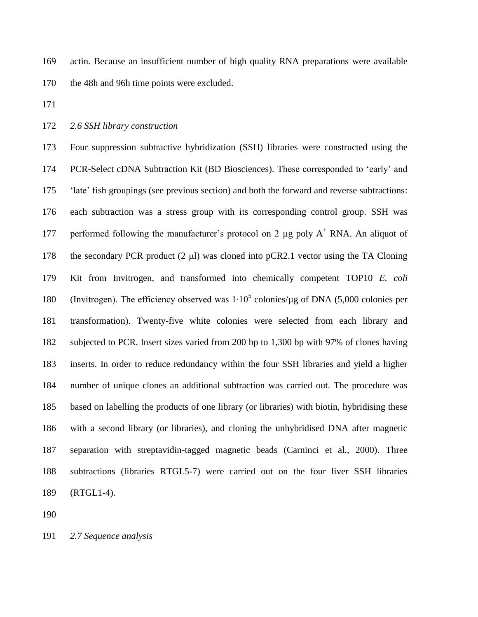actin. Because an insufficient number of high quality RNA preparations were available the 48h and 96h time points were excluded.

# *2.6 SSH library construction*

 Four suppression subtractive hybridization (SSH) libraries were constructed using the PCR-Select cDNA Subtraction Kit (BD Biosciences). These corresponded to 'early' and 'late' fish groupings (see previous section) and both the forward and reverse subtractions: each subtraction was a stress group with its corresponding control group. SSH was 177 performed following the manufacturer's protocol on 2  $\mu$ g poly A<sup>+</sup> RNA. An aliquot of 178 the secondary PCR product  $(2 \mu l)$  was cloned into pCR2.1 vector using the TA Cloning Kit from Invitrogen, and transformed into chemically competent TOP10 *E. coli*  180 (Invitrogen). The efficiency observed was 1⋅10<sup>5</sup> colonies/μg of DNA (5,000 colonies per transformation). Twenty-five white colonies were selected from each library and subjected to PCR. Insert sizes varied from 200 bp to 1,300 bp with 97% of clones having inserts. In order to reduce redundancy within the four SSH libraries and yield a higher number of unique clones an additional subtraction was carried out. The procedure was based on labelling the products of one library (or libraries) with biotin, hybridising these with a second library (or libraries), and cloning the unhybridised DNA after magnetic separation with streptavidin-tagged magnetic beads (Carninci et al., 2000). Three subtractions (libraries RTGL5-7) were carried out on the four liver SSH libraries (RTGL1-4).

*2.7 Sequence analysis*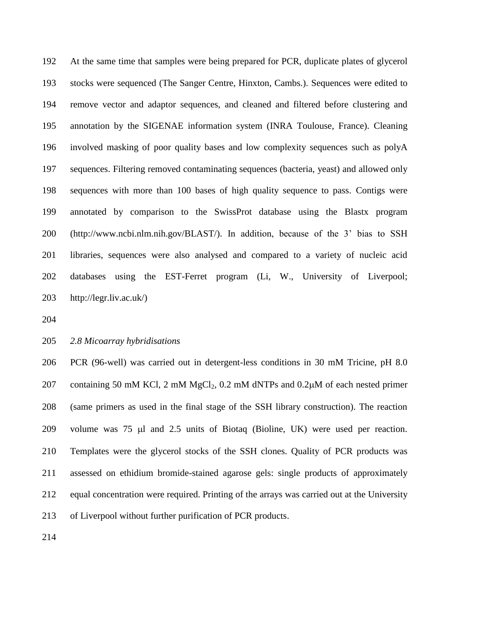At the same time that samples were being prepared for PCR, duplicate plates of glycerol stocks were sequenced (The Sanger Centre, Hinxton, Cambs.). Sequences were edited to remove vector and adaptor sequences, and cleaned and filtered before clustering and annotation by the SIGENAE information system (INRA Toulouse, France). Cleaning involved masking of poor quality bases and low complexity sequences such as polyA sequences. Filtering removed contaminating sequences (bacteria, yeast) and allowed only sequences with more than 100 bases of high quality sequence to pass. Contigs were annotated by comparison to the SwissProt database using the Blastx program (http://www.ncbi.nlm.nih.gov/BLAST/). In addition, because of the 3' bias to SSH libraries, sequences were also analysed and compared to a variety of nucleic acid databases using the EST-Ferret program (Li, W., University of Liverpool; http://legr.liv.ac.uk/)

# *2.8 Micoarray hybridisations*

 PCR (96-well) was carried out in detergent-less conditions in 30 mM Tricine, pH 8.0 207 containing 50 mM KCl, 2 mM  $MgCl<sub>2</sub>$ , 0.2 mM dNTPs and 0.2 $\mu$ M of each nested primer (same primers as used in the final stage of the SSH library construction). The reaction 209 volume was 75 µl and 2.5 units of Biotaq (Bioline, UK) were used per reaction. Templates were the glycerol stocks of the SSH clones. Quality of PCR products was assessed on ethidium bromide-stained agarose gels: single products of approximately equal concentration were required. Printing of the arrays was carried out at the University of Liverpool without further purification of PCR products.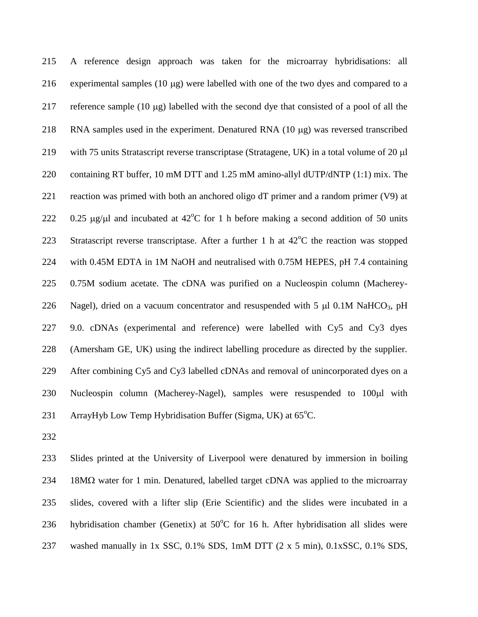215 A reference design approach was taken for the microarray hybridisations: all 216 experimental samples  $(10 \mu g)$  were labelled with one of the two dyes and compared to a 217 reference sample (10  $\mu$ g) labelled with the second dye that consisted of a pool of all the 218 RNA samples used in the experiment. Denatured RNA  $(10 \mu g)$  was reversed transcribed 219 with 75 units Stratascript reverse transcriptase (Stratagene, UK) in a total volume of 20 µl 220 containing RT buffer, 10 mM DTT and 1.25 mM amino-allyl dUTP/dNTP (1:1) mix. The 221 reaction was primed with both an anchored oligo dT primer and a random primer (V9) at 222 0.25  $\mu$ g/ $\mu$ l and incubated at 42<sup>o</sup>C for 1 h before making a second addition of 50 units 223 Stratascript reverse transcriptase. After a further 1 h at  $42^{\circ}$ C the reaction was stopped 224 with 0.45M EDTA in 1M NaOH and neutralised with 0.75M HEPES, pH 7.4 containing 225 0.75M sodium acetate. The cDNA was purified on a Nucleospin column (Macherey-226 Nagel), dried on a vacuum concentrator and resuspended with 5  $\mu$ l 0.1M NaHCO<sub>3</sub>, pH 227 9.0. cDNAs (experimental and reference) were labelled with Cy5 and Cy3 dyes 228 (Amersham GE, UK) using the indirect labelling procedure as directed by the supplier. 229 After combining Cy5 and Cy3 labelled cDNAs and removal of unincorporated dyes on a 230 Nucleospin column (Macherey-Nagel), samples were resuspended to 100µl with 231 ArrayHyb Low Temp Hybridisation Buffer (Sigma, UK) at 65°C.

232

 Slides printed at the University of Liverpool were denatured by immersion in boiling 18M $\Omega$  water for 1 min. Denatured, labelled target cDNA was applied to the microarray slides, covered with a lifter slip (Erie Scientific) and the slides were incubated in a 236 hybridisation chamber (Genetix) at  $50^{\circ}$ C for 16 h. After hybridisation all slides were washed manually in 1x SSC, 0.1% SDS, 1mM DTT (2 x 5 min), 0.1xSSC, 0.1% SDS,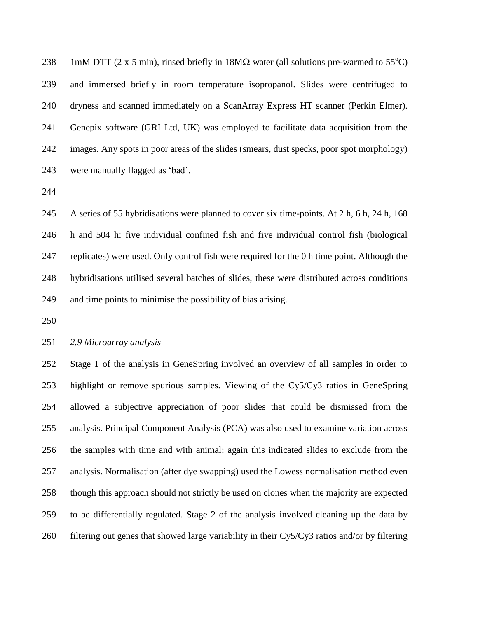238 1mM DTT (2 x 5 min), rinsed briefly in  $18M\Omega$  water (all solutions pre-warmed to 55<sup>o</sup>C) and immersed briefly in room temperature isopropanol. Slides were centrifuged to dryness and scanned immediately on a ScanArray Express HT scanner (Perkin Elmer). Genepix software (GRI Ltd, UK) was employed to facilitate data acquisition from the images. Any spots in poor areas of the slides (smears, dust specks, poor spot morphology) were manually flagged as 'bad'.

 A series of 55 hybridisations were planned to cover six time-points. At 2 h, 6 h, 24 h, 168 h and 504 h: five individual confined fish and five individual control fish (biological replicates) were used. Only control fish were required for the 0 h time point. Although the hybridisations utilised several batches of slides, these were distributed across conditions and time points to minimise the possibility of bias arising.

# *2.9 Microarray analysis*

 Stage 1 of the analysis in GeneSpring involved an overview of all samples in order to highlight or remove spurious samples. Viewing of the Cy5/Cy3 ratios in GeneSpring allowed a subjective appreciation of poor slides that could be dismissed from the analysis. Principal Component Analysis (PCA) was also used to examine variation across the samples with time and with animal: again this indicated slides to exclude from the analysis. Normalisation (after dye swapping) used the Lowess normalisation method even though this approach should not strictly be used on clones when the majority are expected to be differentially regulated. Stage 2 of the analysis involved cleaning up the data by filtering out genes that showed large variability in their Cy5/Cy3 ratios and/or by filtering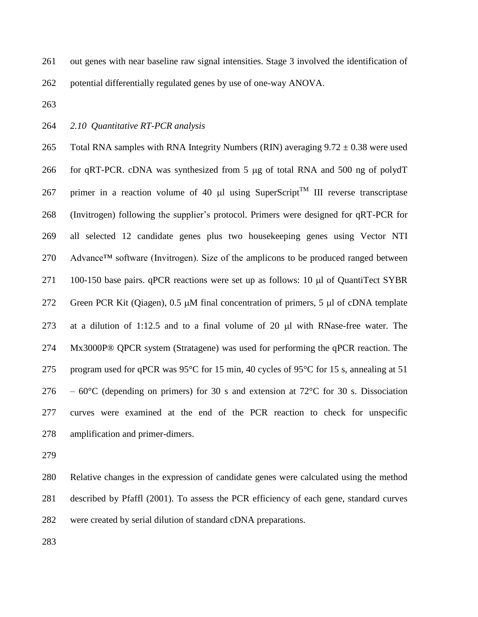out genes with near baseline raw signal intensities. Stage 3 involved the identification of

potential differentially regulated genes by use of one-way ANOVA.

*2.10 Quantitative RT-PCR analysis*

265 Total RNA samples with RNA Integrity Numbers (RIN) averaging  $9.72 \pm 0.38$  were used 266 for qRT-PCR. cDNA was synthesized from 5 µg of total RNA and 500 ng of polydT 267 primer in a reaction volume of 40  $\mu$ l using SuperScript<sup>TM</sup> III reverse transcriptase (Invitrogen) following the supplier's protocol. Primers were designed for qRT-PCR for all selected 12 candidate genes plus two housekeeping genes using Vector NTI Advance™ software (Invitrogen). Size of the amplicons to be produced ranged between 271 100-150 base pairs.  $qPCR$  reactions were set up as follows: 10  $\mu$ l of QuantiTect SYBR 272 Green PCR Kit (Qiagen),  $0.5 \mu M$  final concentration of primers,  $5 \mu I$  of cDNA template 273 at a dilution of 1:12.5 and to a final volume of 20  $\mu$ l with RNase-free water. The Mx3000P® QPCR system (Stratagene) was used for performing the qPCR reaction. The program used for qPCR was 95°C for 15 min, 40 cycles of 95°C for 15 s, annealing at 51 276 –  $60^{\circ}$ C (depending on primers) for 30 s and extension at 72 $^{\circ}$ C for 30 s. Dissociation curves were examined at the end of the PCR reaction to check for unspecific amplification and primer-dimers.

 Relative changes in the expression of candidate genes were calculated using the method described by Pfaffl (2001). To assess the PCR efficiency of each gene, standard curves were created by serial dilution of standard cDNA preparations.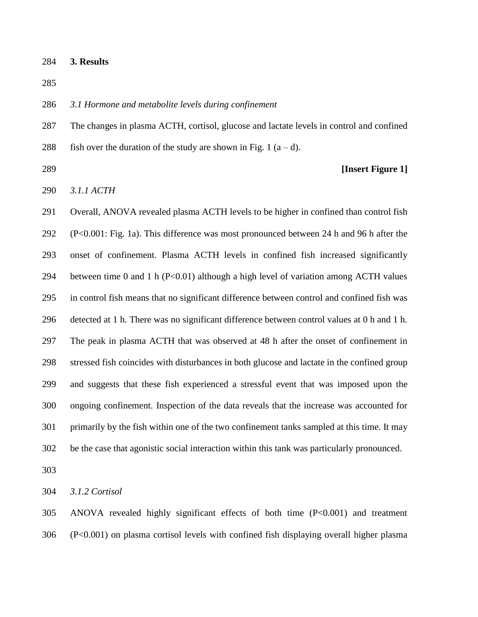**3. Results**

# *3.1 Hormone and metabolite levels during confinement*

 The changes in plasma ACTH, cortisol, glucose and lactate levels in control and confined 288 fish over the duration of the study are shown in Fig. 1  $(a-d)$ .

**[Insert Figure 1]**

*3.1.1 ACTH*

 Overall, ANOVA revealed plasma ACTH levels to be higher in confined than control fish (P<0.001: Fig. 1a). This difference was most pronounced between 24 h and 96 h after the onset of confinement. Plasma ACTH levels in confined fish increased significantly 294 between time 0 and 1 h ( $P<0.01$ ) although a high level of variation among ACTH values in control fish means that no significant difference between control and confined fish was detected at 1 h. There was no significant difference between control values at 0 h and 1 h. The peak in plasma ACTH that was observed at 48 h after the onset of confinement in stressed fish coincides with disturbances in both glucose and lactate in the confined group and suggests that these fish experienced a stressful event that was imposed upon the ongoing confinement. Inspection of the data reveals that the increase was accounted for primarily by the fish within one of the two confinement tanks sampled at this time. It may be the case that agonistic social interaction within this tank was particularly pronounced.

*3.1.2 Cortisol*

 ANOVA revealed highly significant effects of both time (P<0.001) and treatment (P<0.001) on plasma cortisol levels with confined fish displaying overall higher plasma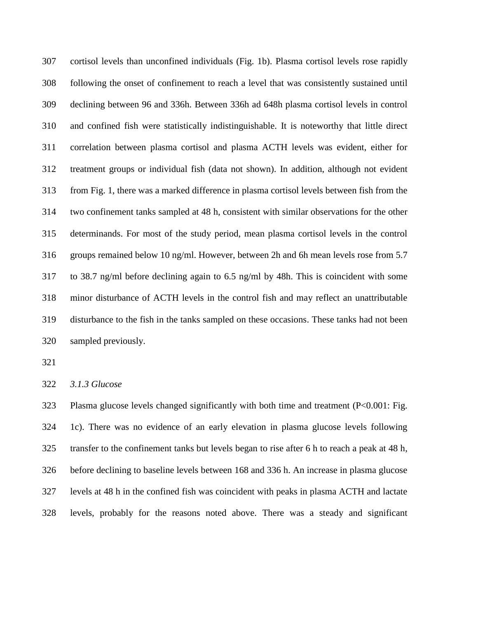cortisol levels than unconfined individuals (Fig. 1b). Plasma cortisol levels rose rapidly following the onset of confinement to reach a level that was consistently sustained until declining between 96 and 336h. Between 336h ad 648h plasma cortisol levels in control and confined fish were statistically indistinguishable. It is noteworthy that little direct correlation between plasma cortisol and plasma ACTH levels was evident, either for treatment groups or individual fish (data not shown). In addition, although not evident from Fig. 1, there was a marked difference in plasma cortisol levels between fish from the two confinement tanks sampled at 48 h, consistent with similar observations for the other determinands. For most of the study period, mean plasma cortisol levels in the control groups remained below 10 ng/ml. However, between 2h and 6h mean levels rose from 5.7 to 38.7 ng/ml before declining again to 6.5 ng/ml by 48h. This is coincident with some minor disturbance of ACTH levels in the control fish and may reflect an unattributable disturbance to the fish in the tanks sampled on these occasions. These tanks had not been sampled previously.

*3.1.3 Glucose*

 Plasma glucose levels changed significantly with both time and treatment (P<0.001: Fig. 1c). There was no evidence of an early elevation in plasma glucose levels following transfer to the confinement tanks but levels began to rise after 6 h to reach a peak at 48 h, before declining to baseline levels between 168 and 336 h. An increase in plasma glucose levels at 48 h in the confined fish was coincident with peaks in plasma ACTH and lactate levels, probably for the reasons noted above. There was a steady and significant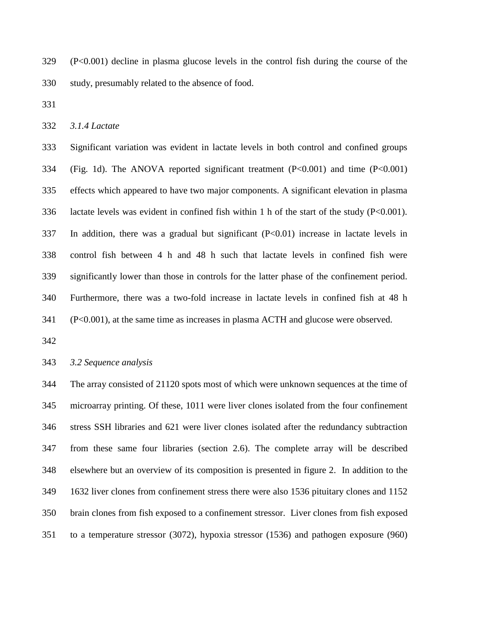(P<0.001) decline in plasma glucose levels in the control fish during the course of the study, presumably related to the absence of food.

*3.1.4 Lactate*

 Significant variation was evident in lactate levels in both control and confined groups (Fig. 1d). The ANOVA reported significant treatment (P<0.001) and time (P<0.001) effects which appeared to have two major components. A significant elevation in plasma lactate levels was evident in confined fish within 1 h of the start of the study (P<0.001). In addition, there was a gradual but significant (P<0.01) increase in lactate levels in control fish between 4 h and 48 h such that lactate levels in confined fish were significantly lower than those in controls for the latter phase of the confinement period. Furthermore, there was a two-fold increase in lactate levels in confined fish at 48 h (P<0.001), at the same time as increases in plasma ACTH and glucose were observed.

*3.2 Sequence analysis*

 The array consisted of 21120 spots most of which were unknown sequences at the time of microarray printing. Of these, 1011 were liver clones isolated from the four confinement stress SSH libraries and 621 were liver clones isolated after the redundancy subtraction from these same four libraries (section 2.6). The complete array will be described elsewhere but an overview of its composition is presented in figure 2. In addition to the 1632 liver clones from confinement stress there were also 1536 pituitary clones and 1152 brain clones from fish exposed to a confinement stressor. Liver clones from fish exposed to a temperature stressor (3072), hypoxia stressor (1536) and pathogen exposure (960)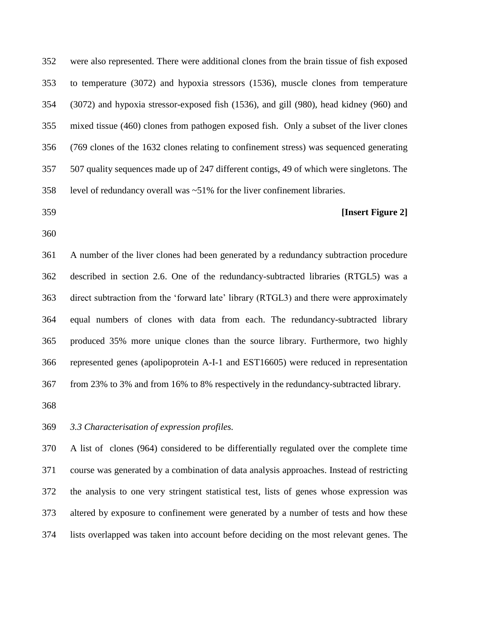were also represented. There were additional clones from the brain tissue of fish exposed to temperature (3072) and hypoxia stressors (1536), muscle clones from temperature (3072) and hypoxia stressor-exposed fish (1536), and gill (980), head kidney (960) and mixed tissue (460) clones from pathogen exposed fish. Only a subset of the liver clones (769 clones of the 1632 clones relating to confinement stress) was sequenced generating 507 quality sequences made up of 247 different contigs, 49 of which were singletons. The level of redundancy overall was ~51% for the liver confinement libraries.

# **[Insert Figure 2]**

 A number of the liver clones had been generated by a redundancy subtraction procedure described in section 2.6. One of the redundancy-subtracted libraries (RTGL5) was a direct subtraction from the 'forward late' library (RTGL3) and there were approximately equal numbers of clones with data from each. The redundancy-subtracted library produced 35% more unique clones than the source library. Furthermore, two highly represented genes (apolipoprotein A-I-1 and EST16605) were reduced in representation from 23% to 3% and from 16% to 8% respectively in the redundancy-subtracted library.

*3.3 Characterisation of expression profiles.* 

 A list of clones (964) considered to be differentially regulated over the complete time course was generated by a combination of data analysis approaches. Instead of restricting the analysis to one very stringent statistical test, lists of genes whose expression was altered by exposure to confinement were generated by a number of tests and how these lists overlapped was taken into account before deciding on the most relevant genes. The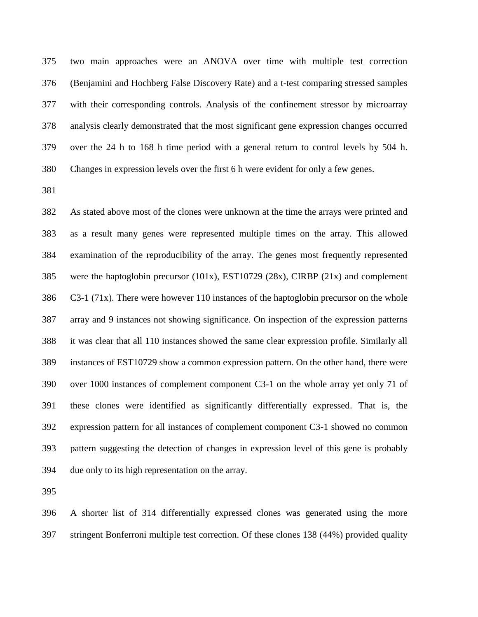two main approaches were an ANOVA over time with multiple test correction (Benjamini and Hochberg False Discovery Rate) and a t-test comparing stressed samples with their corresponding controls. Analysis of the confinement stressor by microarray analysis clearly demonstrated that the most significant gene expression changes occurred over the 24 h to 168 h time period with a general return to control levels by 504 h. Changes in expression levels over the first 6 h were evident for only a few genes.

 As stated above most of the clones were unknown at the time the arrays were printed and as a result many genes were represented multiple times on the array. This allowed examination of the reproducibility of the array. The genes most frequently represented were the haptoglobin precursor (101x), EST10729 (28x), CIRBP (21x) and complement C3-1 (71x). There were however 110 instances of the haptoglobin precursor on the whole array and 9 instances not showing significance. On inspection of the expression patterns it was clear that all 110 instances showed the same clear expression profile. Similarly all instances of EST10729 show a common expression pattern. On the other hand, there were over 1000 instances of complement component C3-1 on the whole array yet only 71 of these clones were identified as significantly differentially expressed. That is, the expression pattern for all instances of complement component C3-1 showed no common pattern suggesting the detection of changes in expression level of this gene is probably due only to its high representation on the array.

 A shorter list of 314 differentially expressed clones was generated using the more stringent Bonferroni multiple test correction. Of these clones 138 (44%) provided quality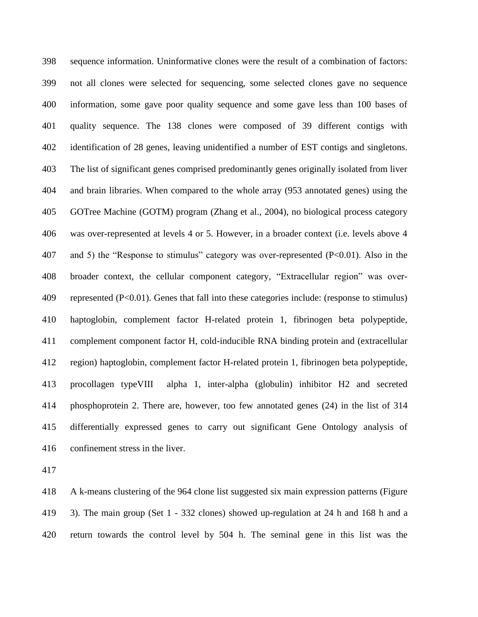sequence information. Uninformative clones were the result of a combination of factors: not all clones were selected for sequencing, some selected clones gave no sequence information, some gave poor quality sequence and some gave less than 100 bases of quality sequence. The 138 clones were composed of 39 different contigs with identification of 28 genes, leaving unidentified a number of EST contigs and singletons. The list of significant genes comprised predominantly genes originally isolated from liver and brain libraries. When compared to the whole array (953 annotated genes) using the GOTree Machine (GOTM) program (Zhang et al., 2004), no biological process category was over-represented at levels 4 or 5. However, in a broader context (i.e. levels above 4 and 5) the "Response to stimulus" category was over-represented (P<0.01). Also in the broader context, the cellular component category, "Extracellular region" was over- represented (P<0.01). Genes that fall into these categories include: (response to stimulus) haptoglobin, complement factor H-related protein 1, fibrinogen beta polypeptide, complement component factor H, cold-inducible RNA binding protein and (extracellular region) haptoglobin, complement factor H-related protein 1, fibrinogen beta polypeptide, procollagen typeVIII alpha 1, inter-alpha (globulin) inhibitor H2 and secreted phosphoprotein 2. There are, however, too few annotated genes (24) in the list of 314 differentially expressed genes to carry out significant Gene Ontology analysis of confinement stress in the liver.

 A k-means clustering of the 964 clone list suggested six main expression patterns (Figure 3). The main group (Set 1 - 332 clones) showed up-regulation at 24 h and 168 h and a return towards the control level by 504 h. The seminal gene in this list was the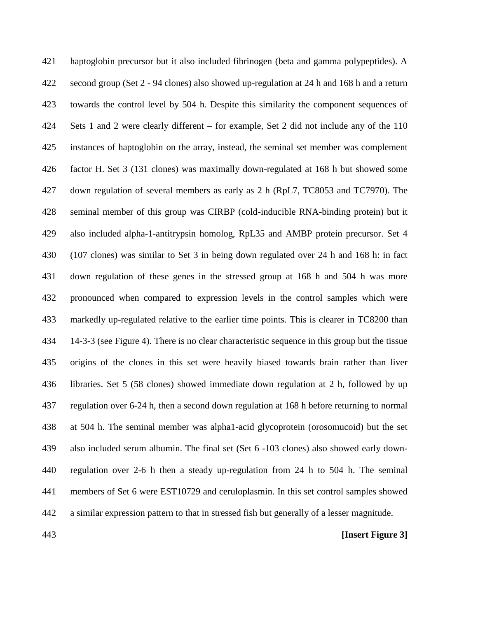haptoglobin precursor but it also included fibrinogen (beta and gamma polypeptides). A second group (Set 2 - 94 clones) also showed up-regulation at 24 h and 168 h and a return towards the control level by 504 h. Despite this similarity the component sequences of Sets 1 and 2 were clearly different – for example, Set 2 did not include any of the 110 instances of haptoglobin on the array, instead, the seminal set member was complement factor H. Set 3 (131 clones) was maximally down-regulated at 168 h but showed some down regulation of several members as early as 2 h (RpL7, TC8053 and TC7970). The seminal member of this group was CIRBP (cold-inducible RNA-binding protein) but it also included alpha-1-antitrypsin homolog, RpL35 and AMBP protein precursor. Set 4 (107 clones) was similar to Set 3 in being down regulated over 24 h and 168 h: in fact down regulation of these genes in the stressed group at 168 h and 504 h was more pronounced when compared to expression levels in the control samples which were markedly up-regulated relative to the earlier time points. This is clearer in TC8200 than 14-3-3 (see Figure 4). There is no clear characteristic sequence in this group but the tissue origins of the clones in this set were heavily biased towards brain rather than liver libraries. Set 5 (58 clones) showed immediate down regulation at 2 h, followed by up regulation over 6-24 h, then a second down regulation at 168 h before returning to normal at 504 h. The seminal member was alpha1-acid glycoprotein (orosomucoid) but the set also included serum albumin. The final set (Set 6 -103 clones) also showed early down- regulation over 2-6 h then a steady up-regulation from 24 h to 504 h. The seminal members of Set 6 were EST10729 and ceruloplasmin. In this set control samples showed a similar expression pattern to that in stressed fish but generally of a lesser magnitude.

# **[Insert Figure 3]**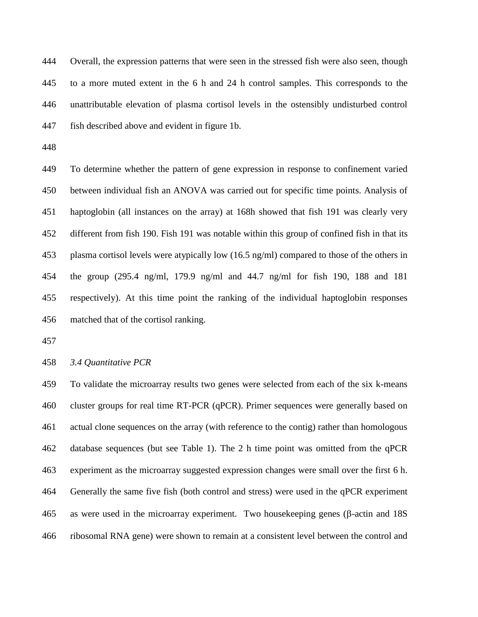Overall, the expression patterns that were seen in the stressed fish were also seen, though to a more muted extent in the 6 h and 24 h control samples. This corresponds to the unattributable elevation of plasma cortisol levels in the ostensibly undisturbed control fish described above and evident in figure 1b.

 To determine whether the pattern of gene expression in response to confinement varied between individual fish an ANOVA was carried out for specific time points. Analysis of haptoglobin (all instances on the array) at 168h showed that fish 191 was clearly very different from fish 190. Fish 191 was notable within this group of confined fish in that its plasma cortisol levels were atypically low (16.5 ng/ml) compared to those of the others in the group (295.4 ng/ml, 179.9 ng/ml and 44.7 ng/ml for fish 190, 188 and 181 respectively). At this time point the ranking of the individual haptoglobin responses matched that of the cortisol ranking.

*3.4 Quantitative PCR*

 To validate the microarray results two genes were selected from each of the six k-means cluster groups for real time RT-PCR (qPCR). Primer sequences were generally based on actual clone sequences on the array (with reference to the contig) rather than homologous database sequences (but see Table 1). The 2 h time point was omitted from the qPCR experiment as the microarray suggested expression changes were small over the first 6 h. Generally the same five fish (both control and stress) were used in the qPCR experiment as were used in the microarray experiment. Two housekeeping genes ( $\beta$ -actin and 18S ribosomal RNA gene) were shown to remain at a consistent level between the control and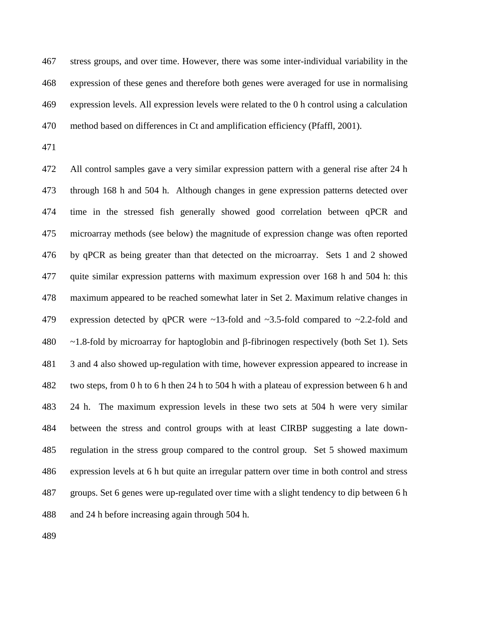stress groups, and over time. However, there was some inter-individual variability in the expression of these genes and therefore both genes were averaged for use in normalising expression levels. All expression levels were related to the 0 h control using a calculation method based on differences in Ct and amplification efficiency (Pfaffl, 2001).

 All control samples gave a very similar expression pattern with a general rise after 24 h through 168 h and 504 h. Although changes in gene expression patterns detected over time in the stressed fish generally showed good correlation between qPCR and microarray methods (see below) the magnitude of expression change was often reported by qPCR as being greater than that detected on the microarray. Sets 1 and 2 showed quite similar expression patterns with maximum expression over 168 h and 504 h: this maximum appeared to be reached somewhat later in Set 2. Maximum relative changes in 479 expression detected by qPCR were ~13-fold and ~3.5-fold compared to ~2.2-fold and  $\sim$  1.8-fold by microarray for haptoglobin and  $\beta$ -fibrinogen respectively (both Set 1). Sets 3 and 4 also showed up-regulation with time, however expression appeared to increase in two steps, from 0 h to 6 h then 24 h to 504 h with a plateau of expression between 6 h and 24 h. The maximum expression levels in these two sets at 504 h were very similar between the stress and control groups with at least CIRBP suggesting a late down- regulation in the stress group compared to the control group. Set 5 showed maximum expression levels at 6 h but quite an irregular pattern over time in both control and stress groups. Set 6 genes were up-regulated over time with a slight tendency to dip between 6 h and 24 h before increasing again through 504 h.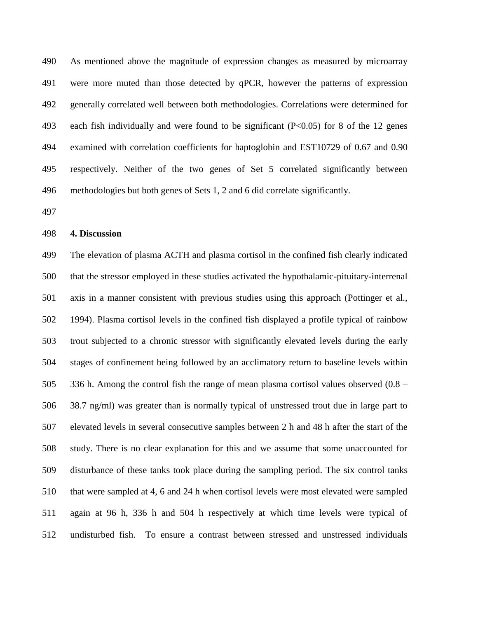As mentioned above the magnitude of expression changes as measured by microarray were more muted than those detected by qPCR, however the patterns of expression generally correlated well between both methodologies. Correlations were determined for each fish individually and were found to be significant (P<0.05) for 8 of the 12 genes examined with correlation coefficients for haptoglobin and EST10729 of 0.67 and 0.90 respectively. Neither of the two genes of Set 5 correlated significantly between methodologies but both genes of Sets 1, 2 and 6 did correlate significantly.

# **4. Discussion**

 The elevation of plasma ACTH and plasma cortisol in the confined fish clearly indicated that the stressor employed in these studies activated the hypothalamic-pituitary-interrenal axis in a manner consistent with previous studies using this approach (Pottinger et al., 1994). Plasma cortisol levels in the confined fish displayed a profile typical of rainbow trout subjected to a chronic stressor with significantly elevated levels during the early stages of confinement being followed by an acclimatory return to baseline levels within 336 h. Among the control fish the range of mean plasma cortisol values observed (0.8 – 38.7 ng/ml) was greater than is normally typical of unstressed trout due in large part to elevated levels in several consecutive samples between 2 h and 48 h after the start of the study. There is no clear explanation for this and we assume that some unaccounted for disturbance of these tanks took place during the sampling period. The six control tanks that were sampled at 4, 6 and 24 h when cortisol levels were most elevated were sampled again at 96 h, 336 h and 504 h respectively at which time levels were typical of undisturbed fish. To ensure a contrast between stressed and unstressed individuals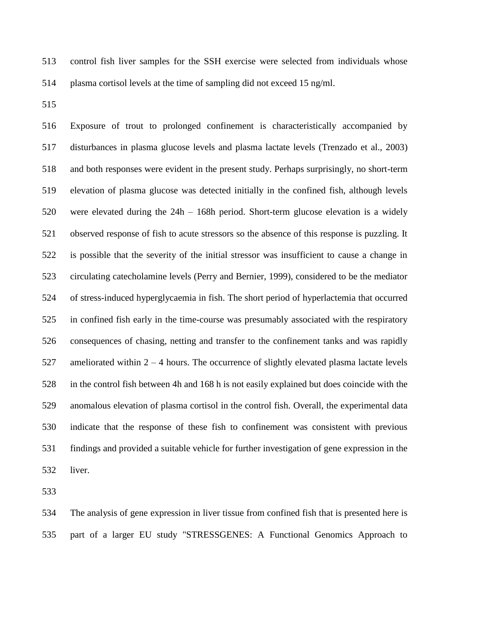control fish liver samples for the SSH exercise were selected from individuals whose plasma cortisol levels at the time of sampling did not exceed 15 ng/ml.

 Exposure of trout to prolonged confinement is characteristically accompanied by disturbances in plasma glucose levels and plasma lactate levels (Trenzado et al., 2003) and both responses were evident in the present study. Perhaps surprisingly, no short-term elevation of plasma glucose was detected initially in the confined fish, although levels were elevated during the 24h – 168h period. Short-term glucose elevation is a widely observed response of fish to acute stressors so the absence of this response is puzzling. It is possible that the severity of the initial stressor was insufficient to cause a change in circulating catecholamine levels (Perry and Bernier, 1999), considered to be the mediator of stress-induced hyperglycaemia in fish. The short period of hyperlactemia that occurred in confined fish early in the time-course was presumably associated with the respiratory consequences of chasing, netting and transfer to the confinement tanks and was rapidly ameliorated within 2 – 4 hours. The occurrence of slightly elevated plasma lactate levels in the control fish between 4h and 168 h is not easily explained but does coincide with the anomalous elevation of plasma cortisol in the control fish. Overall, the experimental data indicate that the response of these fish to confinement was consistent with previous findings and provided a suitable vehicle for further investigation of gene expression in the liver.

 The analysis of gene expression in liver tissue from confined fish that is presented here is part of a larger EU study "STRESSGENES: A Functional Genomics Approach to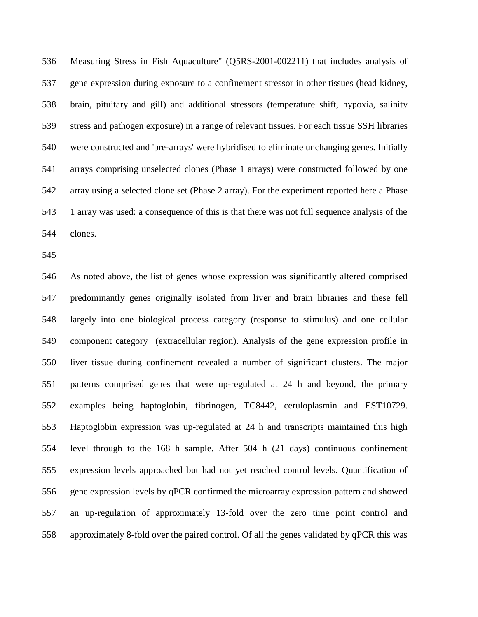Measuring Stress in Fish Aquaculture" (Q5RS-2001-002211) that includes analysis of gene expression during exposure to a confinement stressor in other tissues (head kidney, brain, pituitary and gill) and additional stressors (temperature shift, hypoxia, salinity stress and pathogen exposure) in a range of relevant tissues. For each tissue SSH libraries were constructed and 'pre-arrays' were hybridised to eliminate unchanging genes. Initially arrays comprising unselected clones (Phase 1 arrays) were constructed followed by one array using a selected clone set (Phase 2 array). For the experiment reported here a Phase 1 array was used: a consequence of this is that there was not full sequence analysis of the clones.

 As noted above, the list of genes whose expression was significantly altered comprised predominantly genes originally isolated from liver and brain libraries and these fell largely into one biological process category (response to stimulus) and one cellular component category (extracellular region). Analysis of the gene expression profile in liver tissue during confinement revealed a number of significant clusters. The major patterns comprised genes that were up-regulated at 24 h and beyond, the primary examples being haptoglobin, fibrinogen, TC8442, ceruloplasmin and EST10729. Haptoglobin expression was up-regulated at 24 h and transcripts maintained this high level through to the 168 h sample. After 504 h (21 days) continuous confinement expression levels approached but had not yet reached control levels. Quantification of gene expression levels by qPCR confirmed the microarray expression pattern and showed an up-regulation of approximately 13-fold over the zero time point control and approximately 8-fold over the paired control. Of all the genes validated by qPCR this was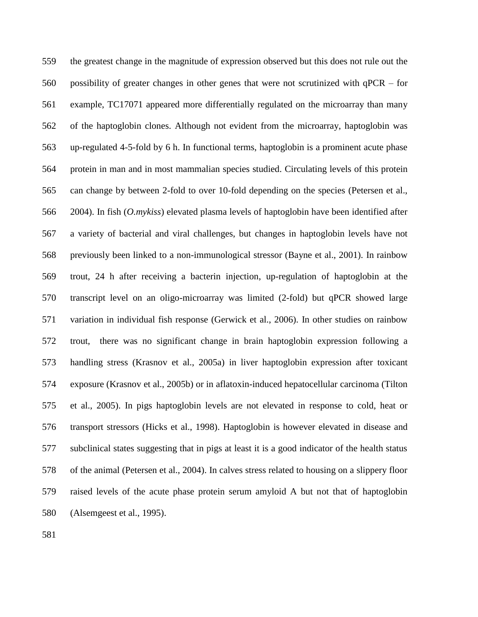the greatest change in the magnitude of expression observed but this does not rule out the possibility of greater changes in other genes that were not scrutinized with qPCR – for example, TC17071 appeared more differentially regulated on the microarray than many of the haptoglobin clones. Although not evident from the microarray, haptoglobin was up-regulated 4-5-fold by 6 h. In functional terms, haptoglobin is a prominent acute phase protein in man and in most mammalian species studied. Circulating levels of this protein can change by between 2-fold to over 10-fold depending on the species (Petersen et al., 2004). In fish (*O.mykiss*) elevated plasma levels of haptoglobin have been identified after a variety of bacterial and viral challenges, but changes in haptoglobin levels have not previously been linked to a non-immunological stressor (Bayne et al., 2001). In rainbow trout, 24 h after receiving a bacterin injection, up-regulation of haptoglobin at the transcript level on an oligo-microarray was limited (2-fold) but qPCR showed large variation in individual fish response (Gerwick et al., 2006). In other studies on rainbow trout, there was no significant change in brain haptoglobin expression following a handling stress (Krasnov et al., 2005a) in liver haptoglobin expression after toxicant exposure (Krasnov et al., 2005b) or in aflatoxin-induced hepatocellular carcinoma (Tilton et al., 2005). In pigs haptoglobin levels are not elevated in response to cold, heat or transport stressors (Hicks et al., 1998). Haptoglobin is however elevated in disease and subclinical states suggesting that in pigs at least it is a good indicator of the health status of the animal (Petersen et al., 2004). In calves stress related to housing on a slippery floor raised levels of the acute phase protein serum amyloid A but not that of haptoglobin (Alsemgeest et al., 1995).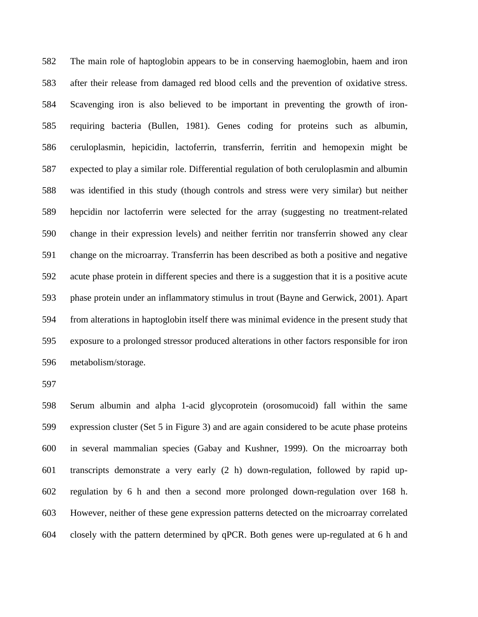The main role of haptoglobin appears to be in conserving haemoglobin, haem and iron after their release from damaged red blood cells and the prevention of oxidative stress. Scavenging iron is also believed to be important in preventing the growth of iron- requiring bacteria (Bullen, 1981). Genes coding for proteins such as albumin, ceruloplasmin, hepicidin, lactoferrin, transferrin, ferritin and hemopexin might be expected to play a similar role. Differential regulation of both ceruloplasmin and albumin was identified in this study (though controls and stress were very similar) but neither hepcidin nor lactoferrin were selected for the array (suggesting no treatment-related change in their expression levels) and neither ferritin nor transferrin showed any clear change on the microarray. Transferrin has been described as both a positive and negative acute phase protein in different species and there is a suggestion that it is a positive acute phase protein under an inflammatory stimulus in trout (Bayne and Gerwick, 2001). Apart from alterations in haptoglobin itself there was minimal evidence in the present study that exposure to a prolonged stressor produced alterations in other factors responsible for iron metabolism/storage.

 Serum albumin and alpha 1-acid glycoprotein (orosomucoid) fall within the same expression cluster (Set 5 in Figure 3) and are again considered to be acute phase proteins in several mammalian species (Gabay and Kushner, 1999). On the microarray both transcripts demonstrate a very early (2 h) down-regulation, followed by rapid up- regulation by 6 h and then a second more prolonged down-regulation over 168 h. However, neither of these gene expression patterns detected on the microarray correlated closely with the pattern determined by qPCR. Both genes were up-regulated at 6 h and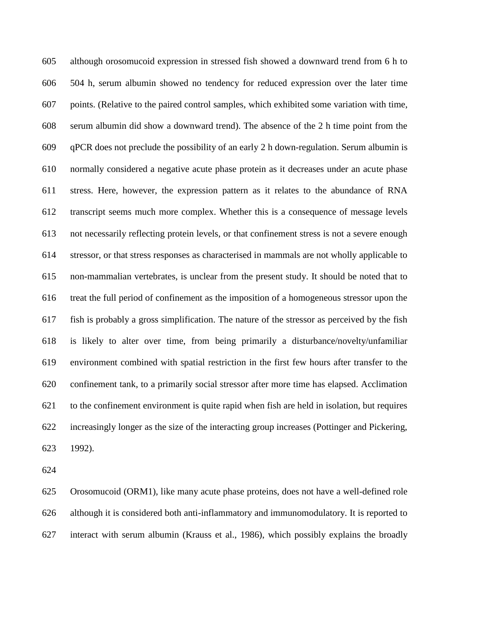although orosomucoid expression in stressed fish showed a downward trend from 6 h to 504 h, serum albumin showed no tendency for reduced expression over the later time points. (Relative to the paired control samples, which exhibited some variation with time, serum albumin did show a downward trend). The absence of the 2 h time point from the qPCR does not preclude the possibility of an early 2 h down-regulation. Serum albumin is normally considered a negative acute phase protein as it decreases under an acute phase stress. Here, however, the expression pattern as it relates to the abundance of RNA transcript seems much more complex. Whether this is a consequence of message levels not necessarily reflecting protein levels, or that confinement stress is not a severe enough stressor, or that stress responses as characterised in mammals are not wholly applicable to non-mammalian vertebrates, is unclear from the present study. It should be noted that to treat the full period of confinement as the imposition of a homogeneous stressor upon the fish is probably a gross simplification. The nature of the stressor as perceived by the fish is likely to alter over time, from being primarily a disturbance/novelty/unfamiliar environment combined with spatial restriction in the first few hours after transfer to the confinement tank, to a primarily social stressor after more time has elapsed. Acclimation to the confinement environment is quite rapid when fish are held in isolation, but requires increasingly longer as the size of the interacting group increases (Pottinger and Pickering, 1992).

 Orosomucoid (ORM1), like many acute phase proteins, does not have a well-defined role although it is considered both anti-inflammatory and immunomodulatory. It is reported to interact with serum albumin (Krauss et al., 1986), which possibly explains the broadly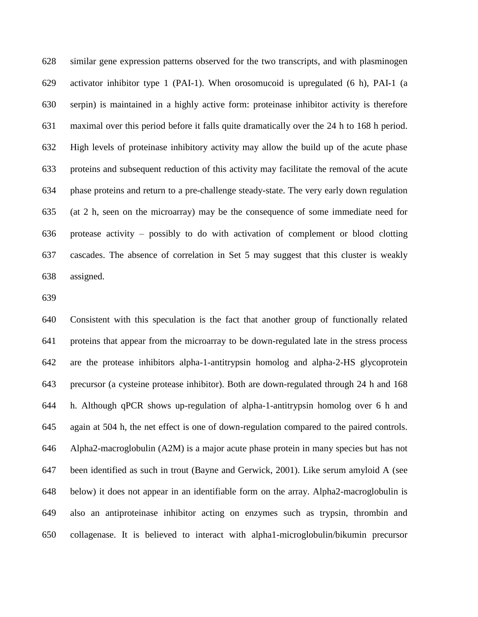similar gene expression patterns observed for the two transcripts, and with plasminogen activator inhibitor type 1 (PAI-1). When orosomucoid is upregulated (6 h), PAI-1 (a serpin) is maintained in a highly active form: proteinase inhibitor activity is therefore maximal over this period before it falls quite dramatically over the 24 h to 168 h period. High levels of proteinase inhibitory activity may allow the build up of the acute phase proteins and subsequent reduction of this activity may facilitate the removal of the acute phase proteins and return to a pre-challenge steady-state. The very early down regulation (at 2 h, seen on the microarray) may be the consequence of some immediate need for protease activity – possibly to do with activation of complement or blood clotting cascades. The absence of correlation in Set 5 may suggest that this cluster is weakly assigned.

 Consistent with this speculation is the fact that another group of functionally related proteins that appear from the microarray to be down-regulated late in the stress process are the protease inhibitors alpha-1-antitrypsin homolog and alpha-2-HS glycoprotein precursor (a cysteine protease inhibitor). Both are down-regulated through 24 h and 168 h. Although qPCR shows up-regulation of alpha-1-antitrypsin homolog over 6 h and again at 504 h, the net effect is one of down-regulation compared to the paired controls. Alpha2-macroglobulin (A2M) is a major acute phase protein in many species but has not been identified as such in trout (Bayne and Gerwick, 2001). Like serum amyloid A (see below) it does not appear in an identifiable form on the array. Alpha2-macroglobulin is also an antiproteinase inhibitor acting on enzymes such as trypsin, thrombin and collagenase. It is believed to interact with alpha1-microglobulin/bikumin precursor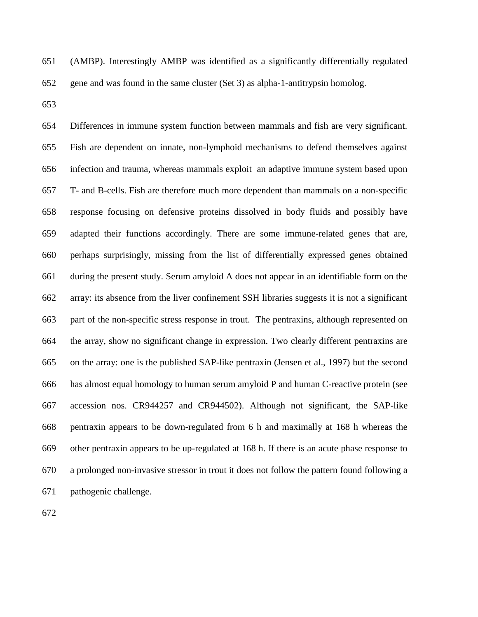(AMBP). Interestingly AMBP was identified as a significantly differentially regulated gene and was found in the same cluster (Set 3) as alpha-1-antitrypsin homolog.

 Differences in immune system function between mammals and fish are very significant. Fish are dependent on innate, non-lymphoid mechanisms to defend themselves against infection and trauma, whereas mammals exploit an adaptive immune system based upon T- and B-cells. Fish are therefore much more dependent than mammals on a non-specific response focusing on defensive proteins dissolved in body fluids and possibly have adapted their functions accordingly. There are some immune-related genes that are, perhaps surprisingly, missing from the list of differentially expressed genes obtained during the present study. Serum amyloid A does not appear in an identifiable form on the array: its absence from the liver confinement SSH libraries suggests it is not a significant part of the non-specific stress response in trout. The pentraxins, although represented on the array, show no significant change in expression. Two clearly different pentraxins are on the array: one is the published SAP-like pentraxin (Jensen et al., 1997) but the second has almost equal homology to human serum amyloid P and human C-reactive protein (see accession nos. CR944257 and CR944502). Although not significant, the SAP-like pentraxin appears to be down-regulated from 6 h and maximally at 168 h whereas the other pentraxin appears to be up-regulated at 168 h. If there is an acute phase response to a prolonged non-invasive stressor in trout it does not follow the pattern found following a pathogenic challenge.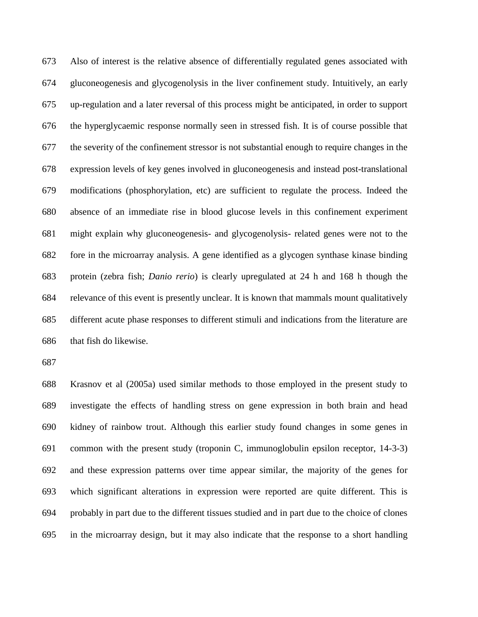Also of interest is the relative absence of differentially regulated genes associated with gluconeogenesis and glycogenolysis in the liver confinement study. Intuitively, an early up-regulation and a later reversal of this process might be anticipated, in order to support the hyperglycaemic response normally seen in stressed fish. It is of course possible that the severity of the confinement stressor is not substantial enough to require changes in the expression levels of key genes involved in gluconeogenesis and instead post-translational modifications (phosphorylation, etc) are sufficient to regulate the process. Indeed the absence of an immediate rise in blood glucose levels in this confinement experiment might explain why gluconeogenesis- and glycogenolysis- related genes were not to the fore in the microarray analysis. A gene identified as a glycogen synthase kinase binding protein (zebra fish; *Danio rerio*) is clearly upregulated at 24 h and 168 h though the relevance of this event is presently unclear. It is known that mammals mount qualitatively different acute phase responses to different stimuli and indications from the literature are that fish do likewise.

 Krasnov et al (2005a) used similar methods to those employed in the present study to investigate the effects of handling stress on gene expression in both brain and head kidney of rainbow trout. Although this earlier study found changes in some genes in common with the present study (troponin C, immunoglobulin epsilon receptor, 14-3-3) and these expression patterns over time appear similar, the majority of the genes for which significant alterations in expression were reported are quite different. This is probably in part due to the different tissues studied and in part due to the choice of clones in the microarray design, but it may also indicate that the response to a short handling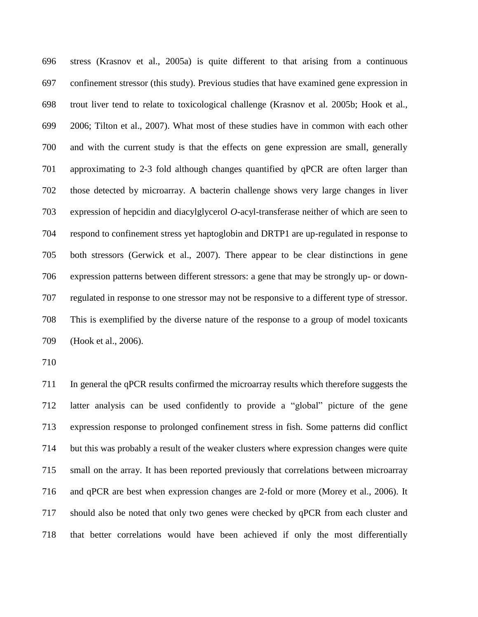stress (Krasnov et al., 2005a) is quite different to that arising from a continuous confinement stressor (this study). Previous studies that have examined gene expression in trout liver tend to relate to toxicological challenge (Krasnov et al. 2005b; Hook et al., 2006; Tilton et al., 2007). What most of these studies have in common with each other and with the current study is that the effects on gene expression are small, generally approximating to 2-3 fold although changes quantified by qPCR are often larger than those detected by microarray. A bacterin challenge shows very large changes in liver expression of hepcidin and diacylglycerol *O*-acyl-transferase neither of which are seen to respond to confinement stress yet haptoglobin and DRTP1 are up-regulated in response to both stressors (Gerwick et al., 2007). There appear to be clear distinctions in gene expression patterns between different stressors: a gene that may be strongly up- or down- regulated in response to one stressor may not be responsive to a different type of stressor. This is exemplified by the diverse nature of the response to a group of model toxicants (Hook et al., 2006).

 In general the qPCR results confirmed the microarray results which therefore suggests the latter analysis can be used confidently to provide a "global" picture of the gene expression response to prolonged confinement stress in fish. Some patterns did conflict but this was probably a result of the weaker clusters where expression changes were quite small on the array. It has been reported previously that correlations between microarray and qPCR are best when expression changes are 2-fold or more (Morey et al., 2006). It should also be noted that only two genes were checked by qPCR from each cluster and that better correlations would have been achieved if only the most differentially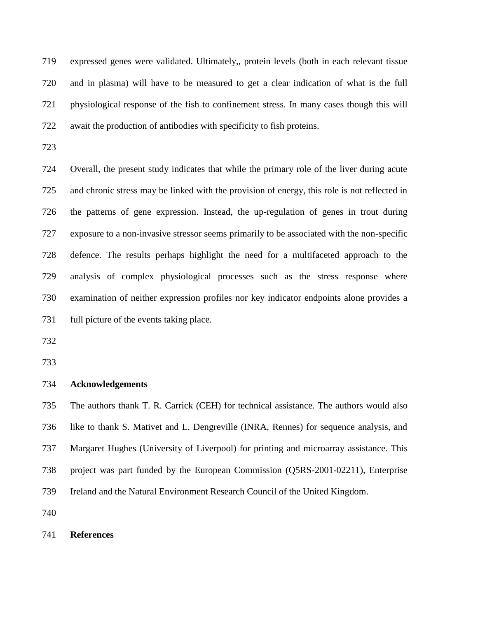expressed genes were validated. Ultimately,, protein levels (both in each relevant tissue and in plasma) will have to be measured to get a clear indication of what is the full physiological response of the fish to confinement stress. In many cases though this will await the production of antibodies with specificity to fish proteins.

 Overall, the present study indicates that while the primary role of the liver during acute and chronic stress may be linked with the provision of energy, this role is not reflected in the patterns of gene expression. Instead, the up-regulation of genes in trout during exposure to a non-invasive stressor seems primarily to be associated with the non-specific defence. The results perhaps highlight the need for a multifaceted approach to the analysis of complex physiological processes such as the stress response where examination of neither expression profiles nor key indicator endpoints alone provides a full picture of the events taking place.

#### **Acknowledgements**

 The authors thank T. R. Carrick (CEH) for technical assistance. The authors would also like to thank S. Mativet and L. Dengreville (INRA, Rennes) for sequence analysis, and Margaret Hughes (University of Liverpool) for printing and microarray assistance. This project was part funded by the European Commission (Q5RS-2001-02211), Enterprise Ireland and the Natural Environment Research Council of the United Kingdom.

# **References**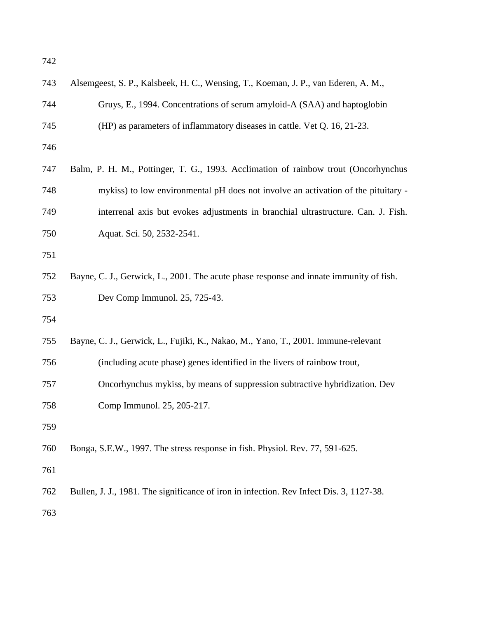| 743 | Alsemgeest, S. P., Kalsbeek, H. C., Wensing, T., Koeman, J. P., van Ederen, A. M.,      |
|-----|-----------------------------------------------------------------------------------------|
| 744 | Gruys, E., 1994. Concentrations of serum amyloid-A (SAA) and haptoglobin                |
| 745 | (HP) as parameters of inflammatory diseases in cattle. Vet Q. 16, 21-23.                |
| 746 |                                                                                         |
| 747 | Balm, P. H. M., Pottinger, T. G., 1993. Acclimation of rainbow trout (Oncorhynchus      |
| 748 | mykiss) to low environmental pH does not involve an activation of the pituitary -       |
| 749 | interrenal axis but evokes adjustments in branchial ultrastructure. Can. J. Fish.       |
| 750 | Aquat. Sci. 50, 2532-2541.                                                              |
| 751 |                                                                                         |
| 752 | Bayne, C. J., Gerwick, L., 2001. The acute phase response and innate immunity of fish.  |
| 753 | Dev Comp Immunol. 25, 725-43.                                                           |
| 754 |                                                                                         |
| 755 | Bayne, C. J., Gerwick, L., Fujiki, K., Nakao, M., Yano, T., 2001. Immune-relevant       |
| 756 | (including acute phase) genes identified in the livers of rainbow trout,                |
| 757 | Oncorhynchus mykiss, by means of suppression subtractive hybridization. Dev             |
| 758 | Comp Immunol. 25, 205-217.                                                              |
| 759 |                                                                                         |
| 760 | Bonga, S.E.W., 1997. The stress response in fish. Physiol. Rev. 77, 591-625.            |
| 761 |                                                                                         |
| 762 | Bullen, J. J., 1981. The significance of iron in infection. Rev Infect Dis. 3, 1127-38. |
| 763 |                                                                                         |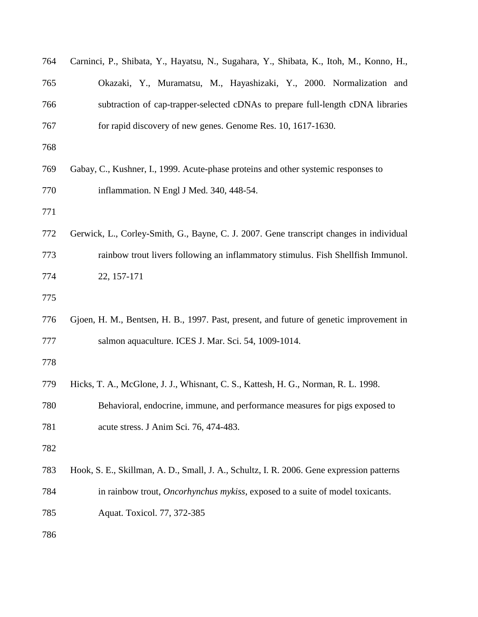| 764 | Carninci, P., Shibata, Y., Hayatsu, N., Sugahara, Y., Shibata, K., Itoh, M., Konno, H.,   |
|-----|-------------------------------------------------------------------------------------------|
| 765 | Okazaki, Y., Muramatsu, M., Hayashizaki, Y., 2000. Normalization and                      |
| 766 | subtraction of cap-trapper-selected cDNAs to prepare full-length cDNA libraries           |
| 767 | for rapid discovery of new genes. Genome Res. 10, 1617-1630.                              |
| 768 |                                                                                           |
| 769 | Gabay, C., Kushner, I., 1999. Acute-phase proteins and other systemic responses to        |
| 770 | inflammation. N Engl J Med. 340, 448-54.                                                  |
| 771 |                                                                                           |
| 772 | Gerwick, L., Corley-Smith, G., Bayne, C. J. 2007. Gene transcript changes in individual   |
| 773 | rainbow trout livers following an inflammatory stimulus. Fish Shellfish Immunol.          |
| 774 | 22, 157-171                                                                               |
| 775 |                                                                                           |
| 776 | Gjoen, H. M., Bentsen, H. B., 1997. Past, present, and future of genetic improvement in   |
| 777 | salmon aquaculture. ICES J. Mar. Sci. 54, 1009-1014.                                      |
| 778 |                                                                                           |
| 779 | Hicks, T. A., McGlone, J. J., Whisnant, C. S., Kattesh, H. G., Norman, R. L. 1998.        |
| 780 | Behavioral, endocrine, immune, and performance measures for pigs exposed to               |
| 781 | acute stress. J Anim Sci. 76, 474-483.                                                    |
| 782 |                                                                                           |
| 783 | Hook, S. E., Skillman, A. D., Small, J. A., Schultz, I. R. 2006. Gene expression patterns |
| 784 | in rainbow trout, <i>Oncorhynchus mykiss</i> , exposed to a suite of model toxicants.     |
| 785 | Aquat. Toxicol. 77, 372-385                                                               |
| 786 |                                                                                           |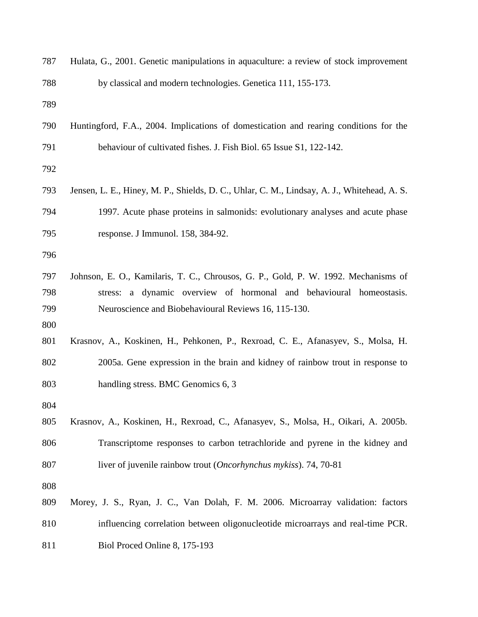| 787        | Hulata, G., 2001. Genetic manipulations in aquaculture: a review of stock improvement       |
|------------|---------------------------------------------------------------------------------------------|
| 788        | by classical and modern technologies. Genetica 111, 155-173.                                |
| 789        |                                                                                             |
| 790        | Huntingford, F.A., 2004. Implications of domestication and rearing conditions for the       |
| 791        | behaviour of cultivated fishes. J. Fish Biol. 65 Issue S1, 122-142.                         |
| 792        |                                                                                             |
| 793        | Jensen, L. E., Hiney, M. P., Shields, D. C., Uhlar, C. M., Lindsay, A. J., Whitehead, A. S. |
| 794        | 1997. Acute phase proteins in salmonids: evolutionary analyses and acute phase              |
| 795        | response. J Immunol. 158, 384-92.                                                           |
| 796        |                                                                                             |
| 797        | Johnson, E. O., Kamilaris, T. C., Chrousos, G. P., Gold, P. W. 1992. Mechanisms of          |
| 798        | stress: a dynamic overview of hormonal and behavioural homeostasis.                         |
| 799<br>800 | Neuroscience and Biobehavioural Reviews 16, 115-130.                                        |
| 801        | Krasnov, A., Koskinen, H., Pehkonen, P., Rexroad, C. E., Afanasyev, S., Molsa, H.           |
| 802        | 2005a. Gene expression in the brain and kidney of rainbow trout in response to              |
| 803        | handling stress. BMC Genomics 6, 3                                                          |
| 804        |                                                                                             |
| 805        | Krasnov, A., Koskinen, H., Rexroad, C., Afanasyev, S., Molsa, H., Oikari, A. 2005b.         |
| 806        | Transcriptome responses to carbon tetrachloride and pyrene in the kidney and                |
| 807        | liver of juvenile rainbow trout (Oncorhynchus mykiss). 74, 70-81                            |
| 808        |                                                                                             |
| 809        | Morey, J. S., Ryan, J. C., Van Dolah, F. M. 2006. Microarray validation: factors            |
| 810        | influencing correlation between oligonucleotide microarrays and real-time PCR.              |
| 811        | Biol Proced Online 8, 175-193                                                               |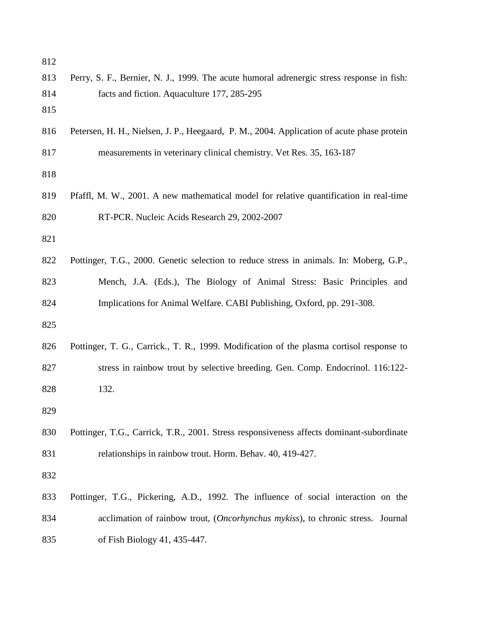| 812 |                                                                                            |
|-----|--------------------------------------------------------------------------------------------|
| 813 | Perry, S. F., Bernier, N. J., 1999. The acute humoral adrenergic stress response in fish:  |
| 814 | facts and fiction. Aquaculture 177, 285-295                                                |
| 815 |                                                                                            |
| 816 | Petersen, H. H., Nielsen, J. P., Heegaard, P. M., 2004. Application of acute phase protein |
| 817 | measurements in veterinary clinical chemistry. Vet Res. 35, 163-187                        |
| 818 |                                                                                            |
| 819 | Pfaffl, M. W., 2001. A new mathematical model for relative quantification in real-time     |
| 820 | RT-PCR. Nucleic Acids Research 29, 2002-2007                                               |
| 821 |                                                                                            |
| 822 | Pottinger, T.G., 2000. Genetic selection to reduce stress in animals. In: Moberg, G.P.,    |
| 823 | Mench, J.A. (Eds.), The Biology of Animal Stress: Basic Principles and                     |
| 824 | Implications for Animal Welfare. CABI Publishing, Oxford, pp. 291-308.                     |
| 825 |                                                                                            |
| 826 | Pottinger, T. G., Carrick., T. R., 1999. Modification of the plasma cortisol response to   |
| 827 | stress in rainbow trout by selective breeding. Gen. Comp. Endocrinol. 116:122-             |
| 828 | 132.                                                                                       |
| 829 |                                                                                            |
| 830 | Pottinger, T.G., Carrick, T.R., 2001. Stress responsiveness affects dominant-subordinate   |
| 831 | relationships in rainbow trout. Horm. Behav. 40, 419-427.                                  |
| 832 |                                                                                            |
| 833 | Pottinger, T.G., Pickering, A.D., 1992. The influence of social interaction on the         |
| 834 | acclimation of rainbow trout, <i>(Oncorhynchus mykiss)</i> , to chronic stress. Journal    |
| 835 | of Fish Biology 41, 435-447.                                                               |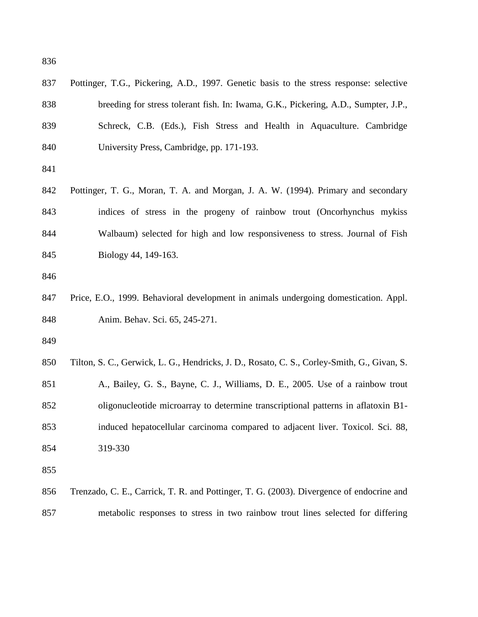| 837 | Pottinger, T.G., Pickering, A.D., 1997. Genetic basis to the stress response: selective     |
|-----|---------------------------------------------------------------------------------------------|
| 838 | breeding for stress tolerant fish. In: Iwama, G.K., Pickering, A.D., Sumpter, J.P.,         |
| 839 | Schreck, C.B. (Eds.), Fish Stress and Health in Aquaculture. Cambridge                      |
| 840 | University Press, Cambridge, pp. 171-193.                                                   |
| 841 |                                                                                             |
| 842 | Pottinger, T. G., Moran, T. A. and Morgan, J. A. W. (1994). Primary and secondary           |
| 843 | indices of stress in the progeny of rainbow trout (Oncorhynchus mykiss                      |
| 844 | Walbaum) selected for high and low responsiveness to stress. Journal of Fish                |
| 845 | Biology 44, 149-163.                                                                        |
| 846 |                                                                                             |
| 847 | Price, E.O., 1999. Behavioral development in animals undergoing domestication. Appl.        |
| 848 | Anim. Behav. Sci. 65, 245-271.                                                              |
| 849 |                                                                                             |
| 850 | Tilton, S. C., Gerwick, L. G., Hendricks, J. D., Rosato, C. S., Corley-Smith, G., Givan, S. |
| 851 | A., Bailey, G. S., Bayne, C. J., Williams, D. E., 2005. Use of a rainbow trout              |
| 852 | oligonucleotide microarray to determine transcriptional patterns in aflatoxin B1-           |
| 853 | induced hepatocellular carcinoma compared to adjacent liver. Toxicol. Sci. 88,              |
| 854 | 319-330                                                                                     |
| 855 |                                                                                             |
| 856 | Trenzado, C. E., Carrick, T. R. and Pottinger, T. G. (2003). Divergence of endocrine and    |
| 857 | metabolic responses to stress in two rainbow trout lines selected for differing             |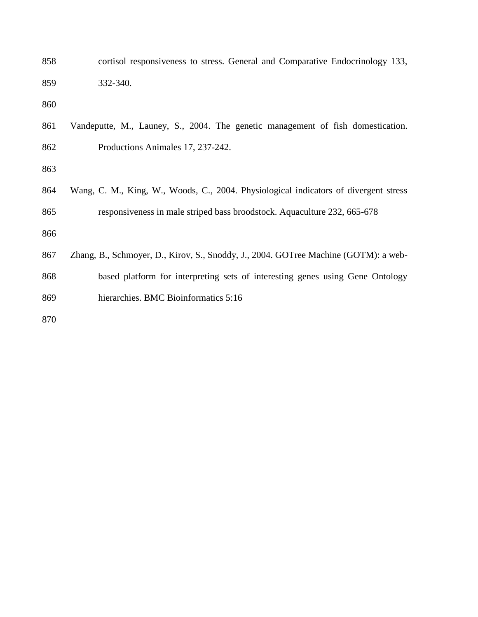| 858 | cortisol responsiveness to stress. General and Comparative Endocrinology 133,        |
|-----|--------------------------------------------------------------------------------------|
| 859 | 332-340.                                                                             |
| 860 |                                                                                      |
| 861 | Vandeputte, M., Launey, S., 2004. The genetic management of fish domestication.      |
| 862 | Productions Animales 17, 237-242.                                                    |
| 863 |                                                                                      |
| 864 | Wang, C. M., King, W., Woods, C., 2004. Physiological indicators of divergent stress |
| 865 | responsiveness in male striped bass broodstock. Aquaculture 232, 665-678             |
| 866 |                                                                                      |
| 867 | Zhang, B., Schmoyer, D., Kirov, S., Snoddy, J., 2004. GOTree Machine (GOTM): a web-  |
| 868 | based platform for interpreting sets of interesting genes using Gene Ontology        |
| 869 | hierarchies. BMC Bioinformatics 5:16                                                 |
| 870 |                                                                                      |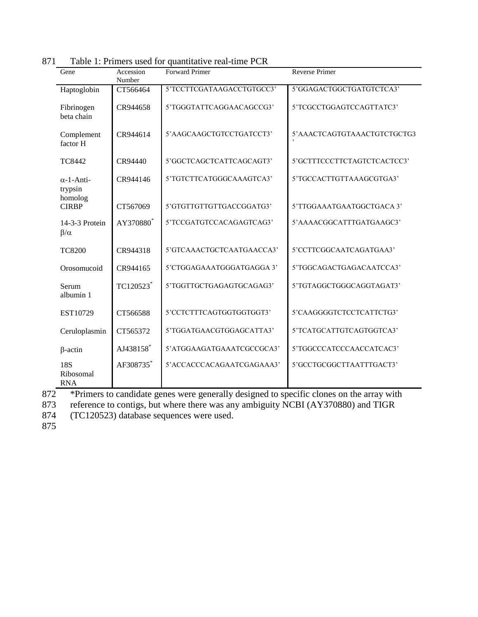| Gene                             | Accession<br>Number | <b>Forward Primer</b>     | <b>Reverse Primer</b>       |
|----------------------------------|---------------------|---------------------------|-----------------------------|
| Haptoglobin                      | CT566464            | 5'TCCTTCGATAAGACCTGTGCC3' | 5'GGAGACTGGCTGATGTCTCA3'    |
| Fibrinogen<br>beta chain         | CR944658            | 5'TGGGTATTCAGGAACAGCCG3'  | 5'TCGCCTGGAGTCCAGTTATC3'    |
| Complement<br>factor H           | CR944614            | 5'AAGCAAGCTGTCCTGATCCT3'  | 5'AAACTCAGTGTAAACTGTCTGCTG3 |
| <b>TC8442</b>                    | CR94440             | 5'GGCTCAGCTCATTCAGCAGT3'  | 5'GCTTTCCCTTCTAGTCTCACTCC3' |
| $\alpha$ -1-Anti-<br>trypsin     | CR944146            | 5'TGTCTTCATGGGCAAAGTCA3'  | 5'TGCCACTTGTTAAAGCGTGA3'    |
| homolog<br><b>CIRBP</b>          | CT567069            | 5'GTGTTGTTGTTGACCGGATG3'  | 5'TTGGAAATGAATGGCTGACA 3'   |
| 14-3-3 Protein<br>$\beta/\alpha$ | AY370880*           | 5'TCCGATGTCCACAGAGTCAG3'  | 5'AAAACGGCATTTGATGAAGC3'    |
| <b>TC8200</b>                    | CR944318            | 5'GTCAAACTGCTCAATGAACCA3' | 5'CCTTCGGCAATCAGATGAA3'     |
| Orosomucoid                      | CR944165            | 5'CTGGAGAAATGGGATGAGGA 3' | 5'TGGCAGACTGAGACAATCCA3'    |
| Serum<br>albumin 1               | TC120523            | 5'TGGTTGCTGAGAGTGCAGAG3'  | 5'TGTAGGCTGGGCAGGTAGAT3'    |
| EST10729                         | CT566588            | 5'CCTCTTTCAGTGGTGGTGGT3'  | 5'CAAGGGGTCTCCTCATTCTG3'    |
| Ceruloplasmin                    | CT565372            | 5'TGGATGAACGTGGAGCATTA3'  | 5'TCATGCATTGTCAGTGGTCA3'    |
| $\beta$ -actin                   | AJ438158*           | 5'ATGGAAGATGAAATCGCCGCA3' | 5'TGGCCCATCCCAACCATCAC3'    |
| 18S<br>Ribosomal<br><b>RNA</b>   | AF308735*           | 5'ACCACCCACAGAATCGAGAAA3' | 5'GCCTGCGGCTTAATTTGACT3'    |

871 Table 1: Primers used for quantitative real-time PCR

<sup>872</sup> \*Primers to candidate genes were generally designed to specific clones on the array with<br>873 reference to contigs, but where there was any ambiguity NCBI (AY370880) and TIGR

873 reference to contigs, but where there was any ambiguity NCBI (AY370880) and TIGR (TC120523) database sequences were used.

(TC120523) database sequences were used.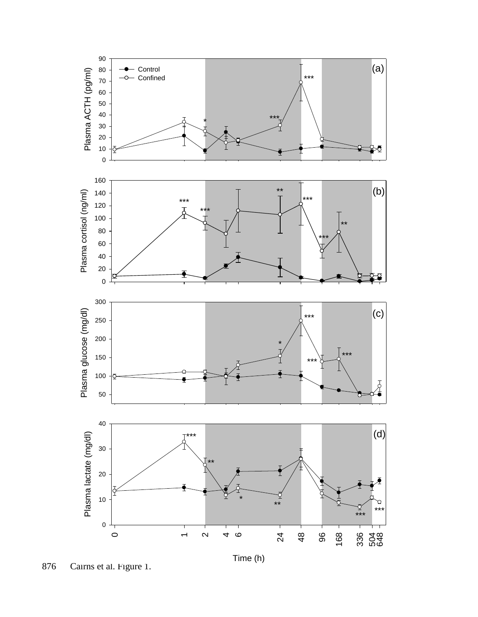

876 Cairns et al. Figure 1.

Time (h)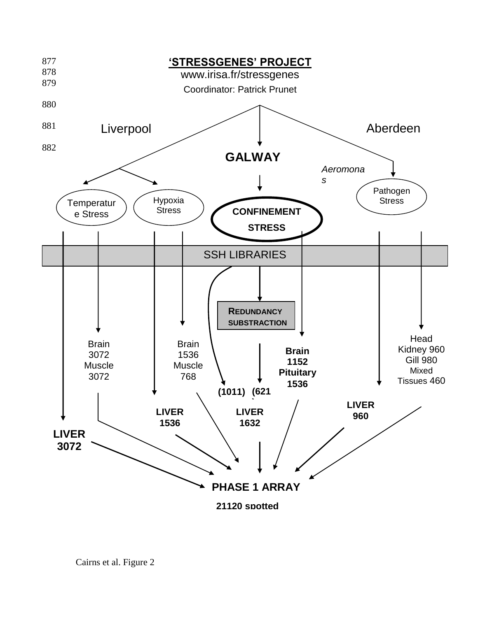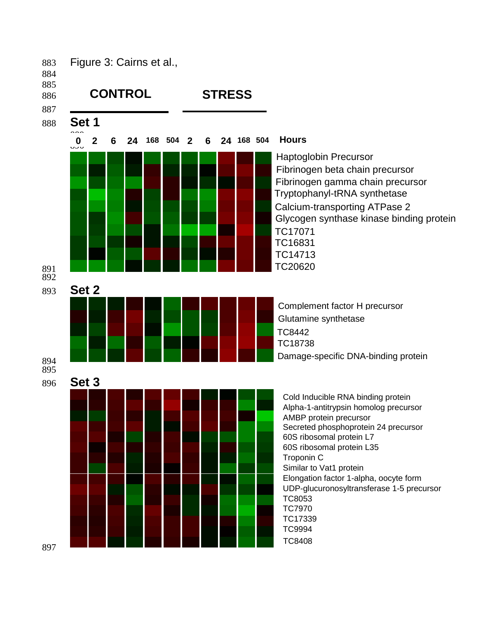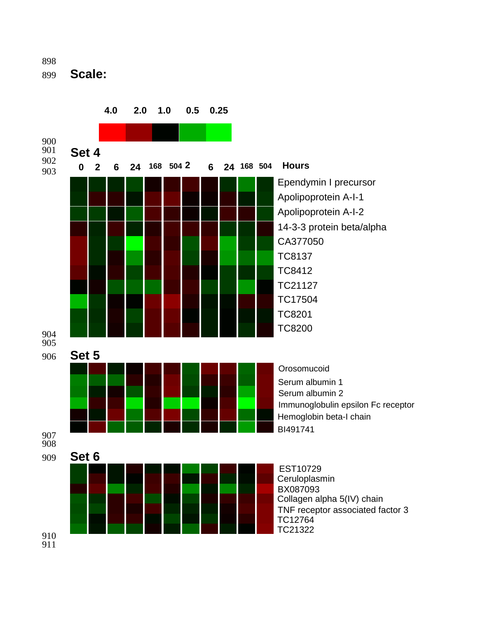899 **Scale:**



**4.0 2.0 1.0 0.5 0.25**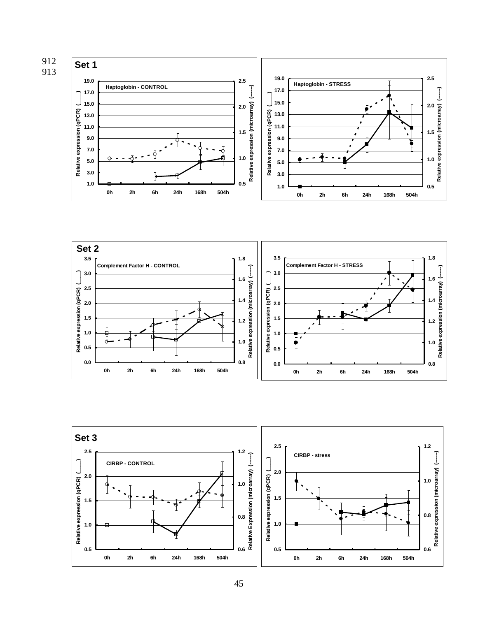



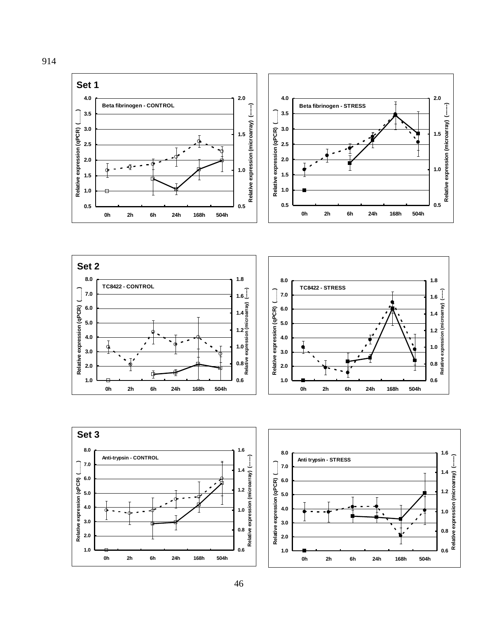







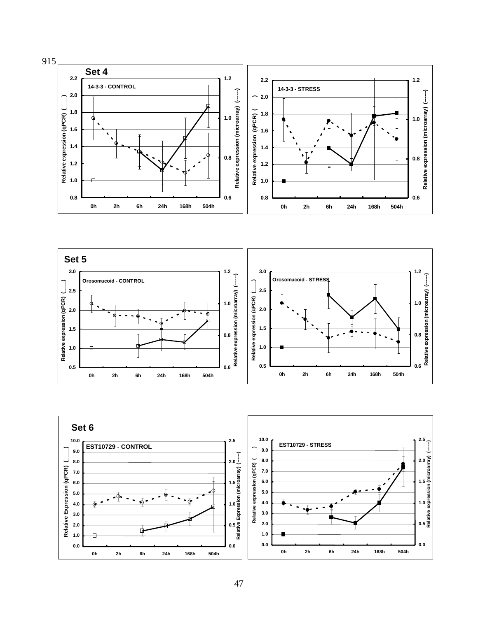



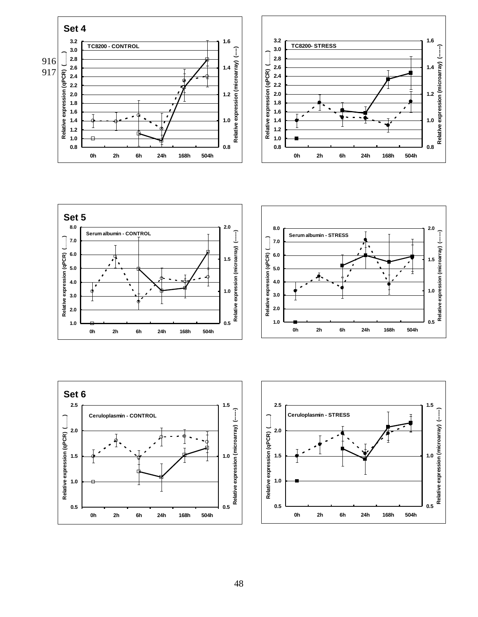





![](_page_48_Figure_3.jpeg)

![](_page_48_Figure_4.jpeg)

![](_page_48_Figure_5.jpeg)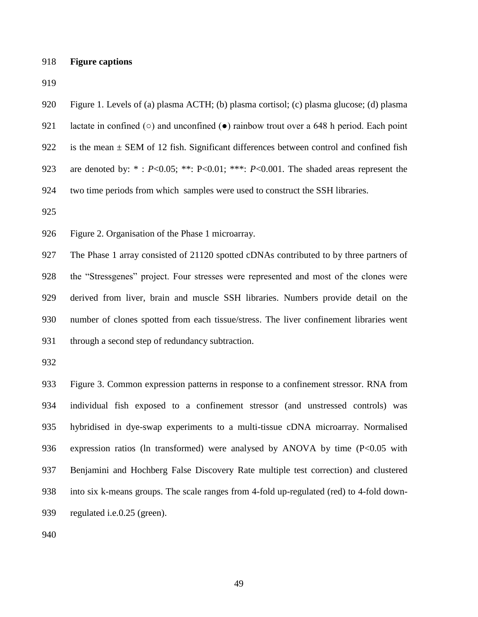# **Figure captions**

| 920 | Figure 1. Levels of (a) plasma ACTH; (b) plasma cortisol; (c) plasma glucose; (d) plasma                   |
|-----|------------------------------------------------------------------------------------------------------------|
| 921 | lactate in confined ( $\circ$ ) and unconfined ( $\bullet$ ) rainbow trout over a 648 h period. Each point |
| 922 | is the mean $\pm$ SEM of 12 fish. Significant differences between control and confined fish                |
| 923 | are denoted by: *: $P<0.05$ ; **: $P<0.01$ ; ***: $P<0.001$ . The shaded areas represent the               |
| 924 | two time periods from which samples were used to construct the SSH libraries.                              |
| 925 |                                                                                                            |
| 926 | Figure 2. Organisation of the Phase 1 microarray.                                                          |
| 927 | The Phase 1 array consisted of 21120 spotted cDNAs contributed to by three partners of                     |
| 928 | the "Stressgenes" project. Four stresses were represented and most of the clones were                      |
| 929 | derived from liver, brain and muscle SSH libraries. Numbers provide detail on the                          |
| 930 | number of clones spotted from each tissue/stress. The liver confinement libraries went                     |
| 931 | through a second step of redundancy subtraction.                                                           |
| 932 |                                                                                                            |
| 933 | Figure 3. Common expression patterns in response to a confinement stressor. RNA from                       |
| 934 | individual fish exposed to a confinement stressor (and unstressed controls) was                            |
| 935 | hybridised in dye-swap experiments to a multi-tissue cDNA microarray. Normalised                           |
| 936 | expression ratios (ln transformed) were analysed by ANOVA by time $(P<0.05$ with                           |

 Benjamini and Hochberg False Discovery Rate multiple test correction) and clustered into six k-means groups. The scale ranges from 4-fold up-regulated (red) to 4-fold down-

regulated i.e.0.25 (green).